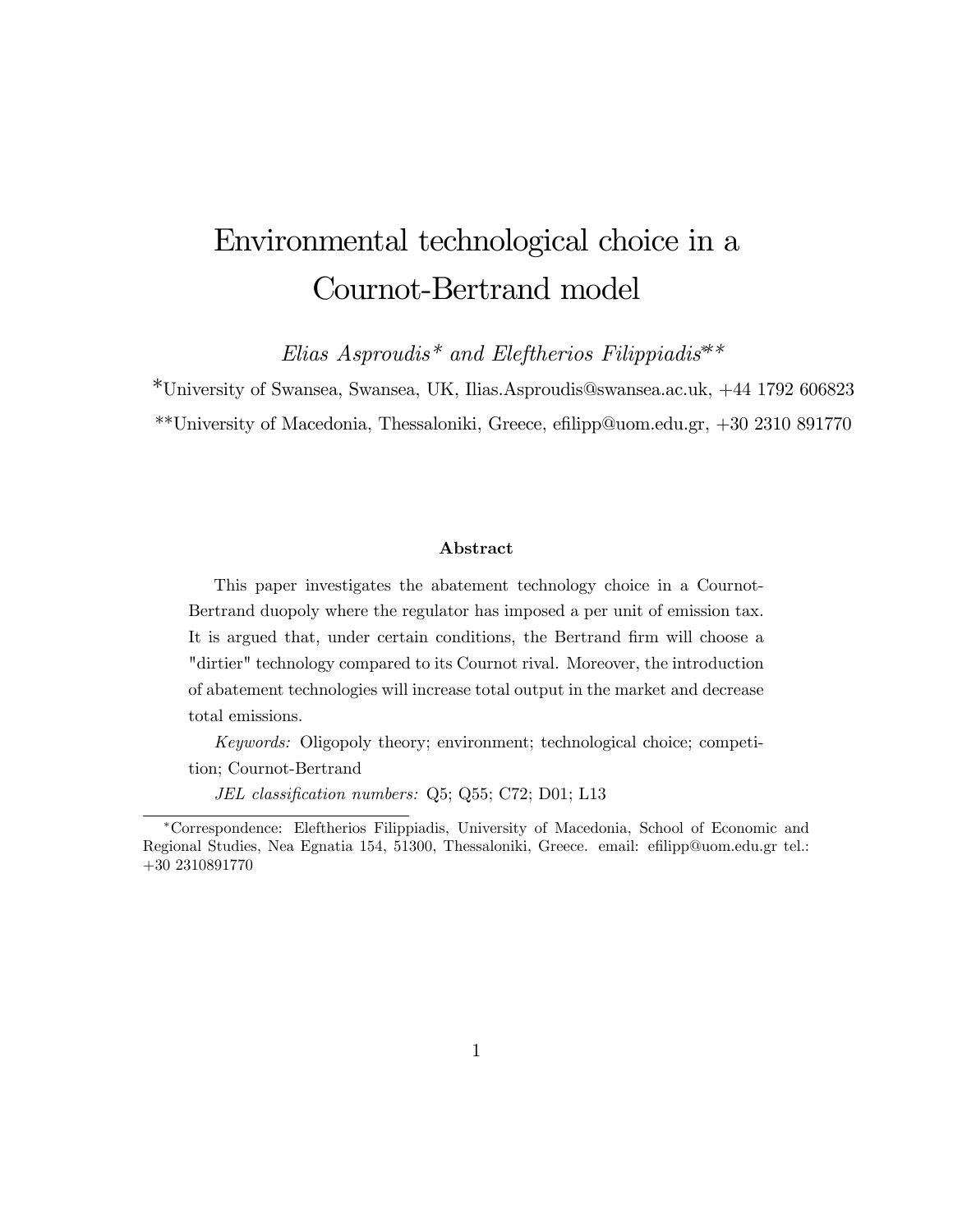# Environmental technological choice in a Cournot-Bertrand model

Elias Asproudis<sup>\*</sup> and Eleftherios Filippiadis<sup>\*\*</sup>

\*University of Swansea, Swansea, UK, Ilias.Asproudis@swansea.ac.uk, +44 1792 606823 \*\*University of Macedonia, Thessaloniki, Greece, efilipp@uom.edu.gr,  $+30\ 2310\ 891770$ 

#### Abstract

This paper investigates the abatement technology choice in a Cournot-Bertrand duopoly where the regulator has imposed a per unit of emission tax. It is argued that, under certain conditions, the Bertrand firm will choose a "dirtier" technology compared to its Cournot rival. Moreover, the introduction of abatement technologies will increase total output in the market and decrease total emissions.

Keywords: Oligopoly theory; environment; technological choice; competition; Cournot-Bertrand

JEL classification numbers: Q5; Q55; C72; D01; L13

Correspondence: Eleftherios Filippiadis, University of Macedonia, School of Economic and Regional Studies, Nea Egnatia 154, 51300, Thessaloniki, Greece. email: efilipp@uom.edu.gr tel.: +30 2310891770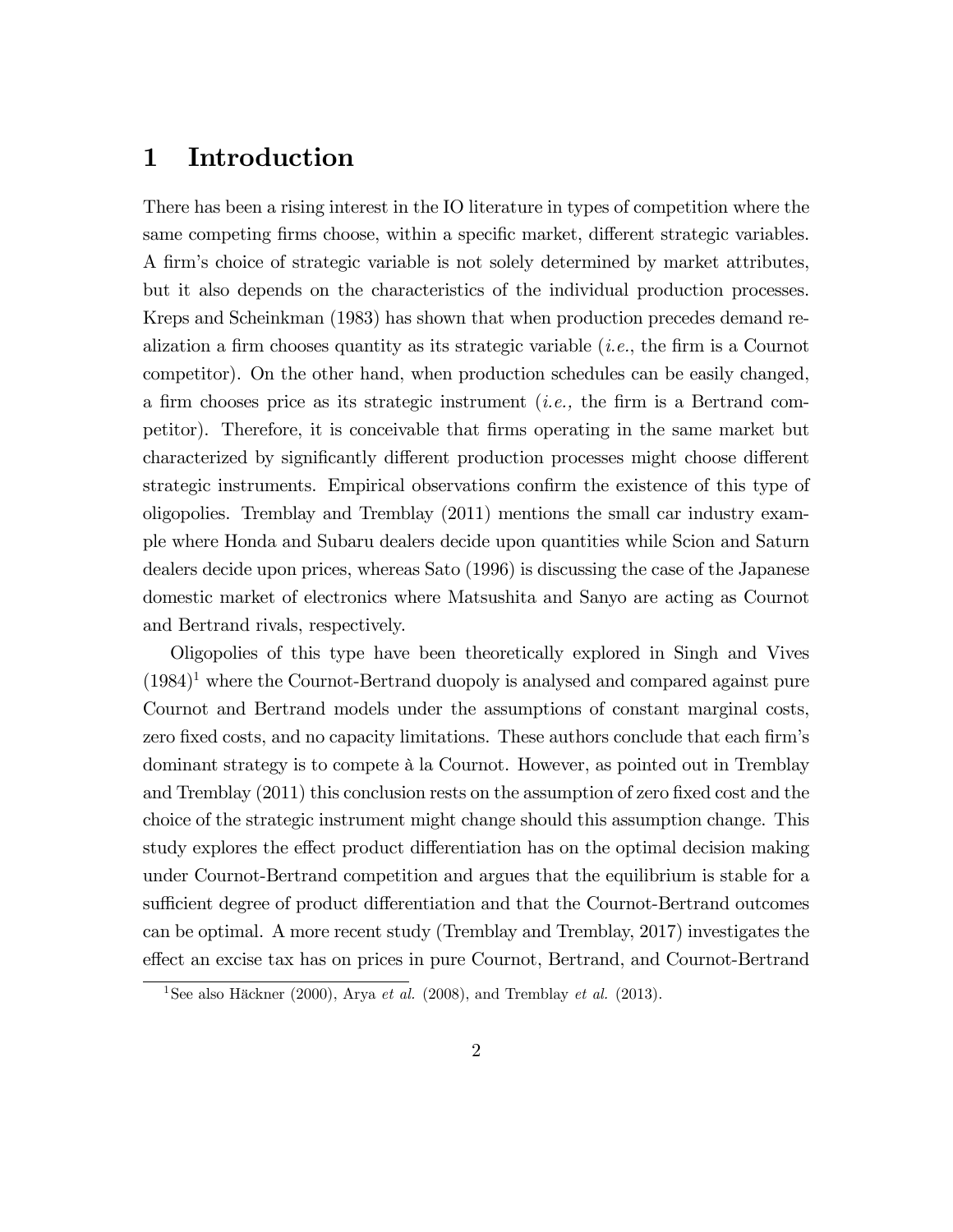# 1 Introduction

There has been a rising interest in the IO literature in types of competition where the same competing firms choose, within a specific market, different strategic variables. A firm's choice of strategic variable is not solely determined by market attributes, but it also depends on the characteristics of the individual production processes. Kreps and Scheinkman (1983) has shown that when production precedes demand realization a firm chooses quantity as its strategic variable  $(i.e.,$  the firm is a Cournot competitor). On the other hand, when production schedules can be easily changed, a firm chooses price as its strategic instrument (*i.e.*, the firm is a Bertrand competitor). Therefore, it is conceivable that Örms operating in the same market but characterized by significantly different production processes might choose different strategic instruments. Empirical observations confirm the existence of this type of oligopolies. Tremblay and Tremblay (2011) mentions the small car industry example where Honda and Subaru dealers decide upon quantities while Scion and Saturn dealers decide upon prices, whereas Sato (1996) is discussing the case of the Japanese domestic market of electronics where Matsushita and Sanyo are acting as Cournot and Bertrand rivals, respectively.

Oligopolies of this type have been theoretically explored in Singh and Vives  $(1984)^1$  where the Cournot-Bertrand duopoly is analysed and compared against pure Cournot and Bertrand models under the assumptions of constant marginal costs, zero fixed costs, and no capacity limitations. These authors conclude that each firm's dominant strategy is to compete à la Cournot. However, as pointed out in Tremblay and Tremblay (2011) this conclusion rests on the assumption of zero fixed cost and the choice of the strategic instrument might change should this assumption change. This study explores the effect product differentiation has on the optimal decision making under Cournot-Bertrand competition and argues that the equilibrium is stable for a sufficient degree of product differentiation and that the Cournot-Bertrand outcomes can be optimal. A more recent study (Tremblay and Tremblay, 2017) investigates the effect an excise tax has on prices in pure Cournot, Bertrand, and Cournot-Bertrand

<sup>&</sup>lt;sup>1</sup>See also Häckner (2000), Arya *et al.* (2008), and Tremblay *et al.* (2013).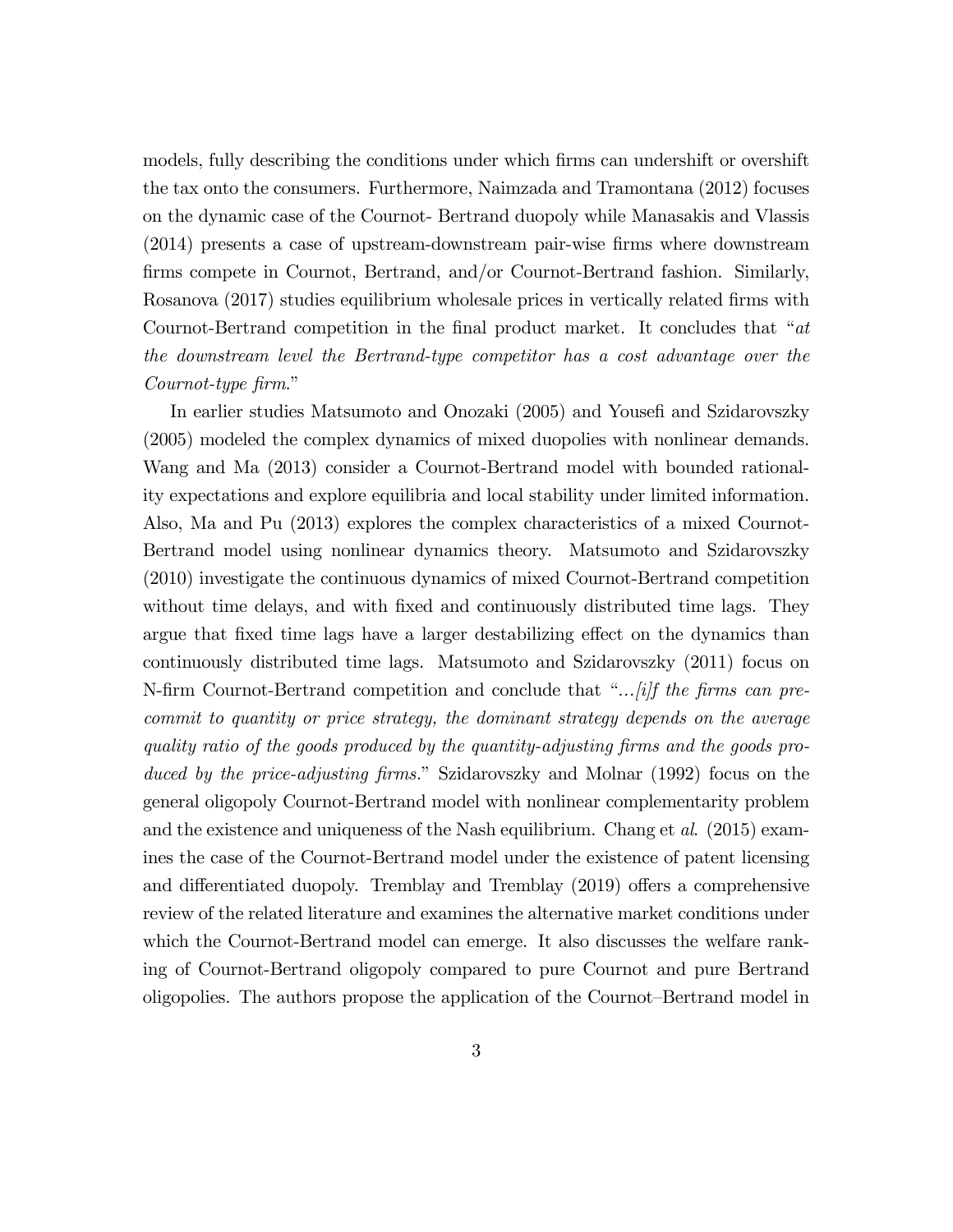models, fully describing the conditions under which firms can undershift or overshift the tax onto the consumers. Furthermore, Naimzada and Tramontana (2012) focuses on the dynamic case of the Cournot- Bertrand duopoly while Manasakis and Vlassis (2014) presents a case of upstream-downstream pair-wise Örms where downstream firms compete in Cournot, Bertrand, and/or Cournot-Bertrand fashion. Similarly, Rosanova (2017) studies equilibrium wholesale prices in vertically related firms with Cournot-Bertrand competition in the final product market. It concludes that  $a$ t the downstream level the Bertrand-type competitor has a cost advantage over the Cournot-type firm."

In earlier studies Matsumoto and Onozaki (2005) and Yousefi and Szidarovszky (2005) modeled the complex dynamics of mixed duopolies with nonlinear demands. Wang and Ma (2013) consider a Cournot-Bertrand model with bounded rationality expectations and explore equilibria and local stability under limited information. Also, Ma and Pu (2013) explores the complex characteristics of a mixed Cournot-Bertrand model using nonlinear dynamics theory. Matsumoto and Szidarovszky (2010) investigate the continuous dynamics of mixed Cournot-Bertrand competition without time delays, and with fixed and continuously distributed time lags. They argue that fixed time lags have a larger destabilizing effect on the dynamics than continuously distributed time lags. Matsumoto and Szidarovszky (2011) focus on N-firm Cournot-Bertrand competition and conclude that " $\ldots$  *ii]f the firms can pre*commit to quantity or price strategy, the dominant strategy depends on the average quality ratio of the goods produced by the quantity-adjusting Örms and the goods produced by the price-adjusting firms." Szidarovszky and Molnar (1992) focus on the general oligopoly Cournot-Bertrand model with nonlinear complementarity problem and the existence and uniqueness of the Nash equilibrium. Chang et al. (2015) examines the case of the Cournot-Bertrand model under the existence of patent licensing and differentiated duopoly. Tremblay and Tremblay (2019) offers a comprehensive review of the related literature and examines the alternative market conditions under which the Cournot-Bertrand model can emerge. It also discusses the welfare ranking of Cournot-Bertrand oligopoly compared to pure Cournot and pure Bertrand oligopolies. The authors propose the application of the Cournot–Bertrand model in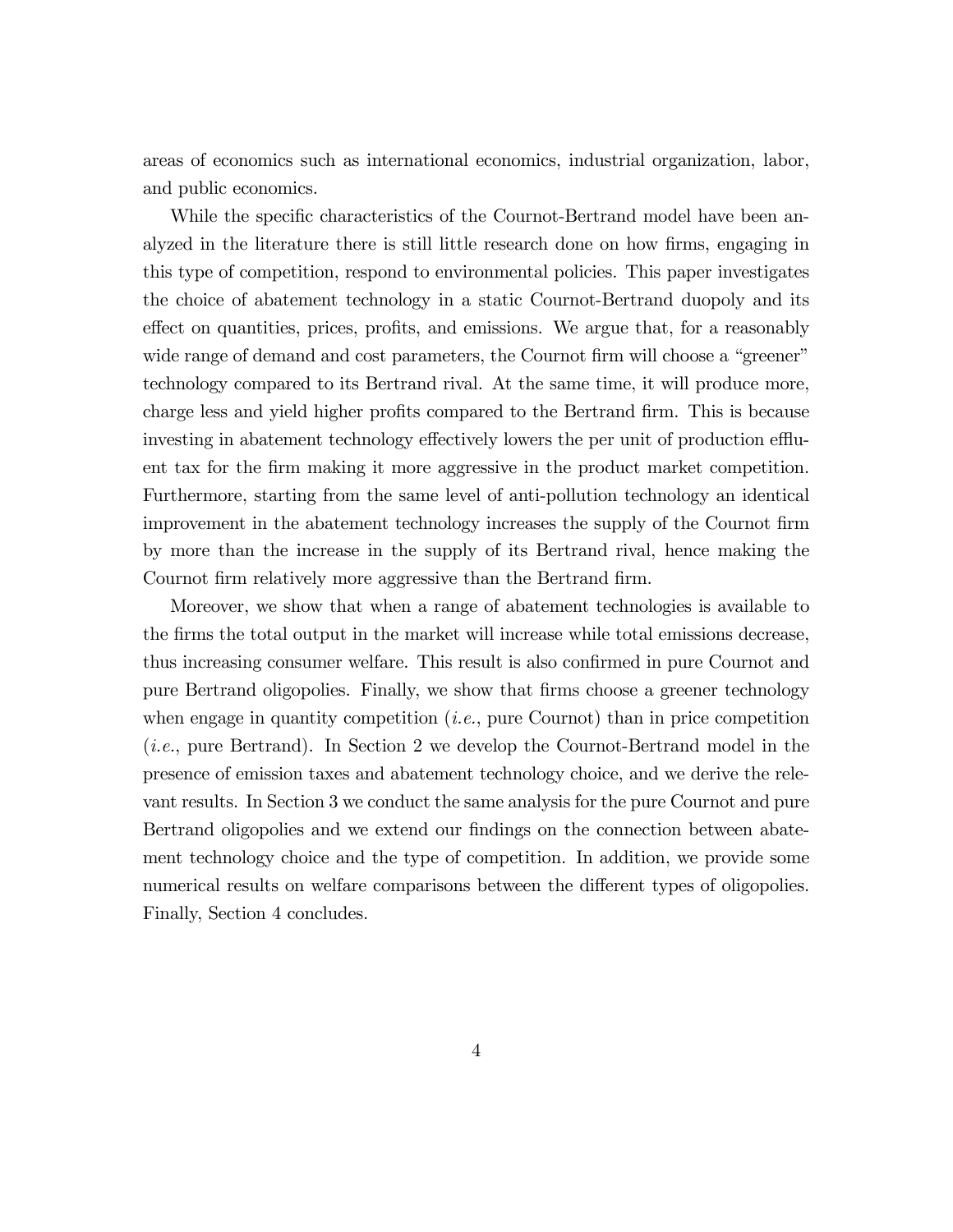areas of economics such as international economics, industrial organization, labor, and public economics.

While the specific characteristics of the Cournot-Bertrand model have been analyzed in the literature there is still little research done on how firms, engaging in this type of competition, respond to environmental policies. This paper investigates the choice of abatement technology in a static Cournot-Bertrand duopoly and its effect on quantities, prices, profits, and emissions. We argue that, for a reasonably wide range of demand and cost parameters, the Cournot firm will choose a "greener" technology compared to its Bertrand rival. At the same time, it will produce more, charge less and yield higher profits compared to the Bertrand firm. This is because investing in abatement technology effectively lowers the per unit of production effluent tax for the Örm making it more aggressive in the product market competition. Furthermore, starting from the same level of anti-pollution technology an identical improvement in the abatement technology increases the supply of the Cournot firm by more than the increase in the supply of its Bertrand rival, hence making the Cournot firm relatively more aggressive than the Bertrand firm.

Moreover, we show that when a range of abatement technologies is available to the firms the total output in the market will increase while total emissions decrease, thus increasing consumer welfare. This result is also confirmed in pure Cournot and pure Bertrand oligopolies. Finally, we show that firms choose a greener technology when engage in quantity competition  $(i.e.,$  pure Cournot) than in price competition (i.e., pure Bertrand). In Section 2 we develop the Cournot-Bertrand model in the presence of emission taxes and abatement technology choice, and we derive the relevant results. In Section 3 we conduct the same analysis for the pure Cournot and pure Bertrand oligopolies and we extend our findings on the connection between abatement technology choice and the type of competition. In addition, we provide some numerical results on welfare comparisons between the different types of oligopolies. Finally, Section 4 concludes.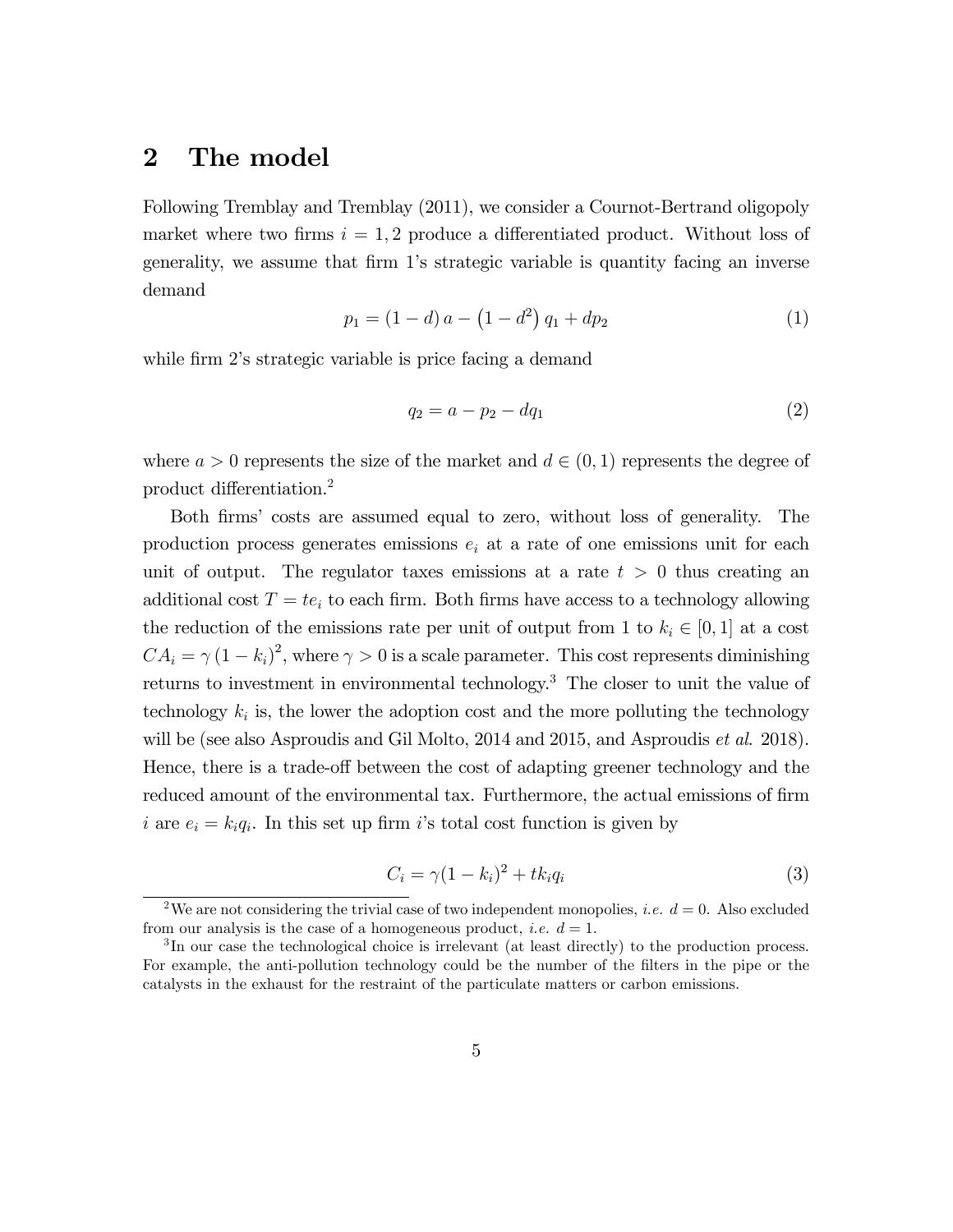## 2 The model

Following Tremblay and Tremblay (2011), we consider a Cournot-Bertrand oligopoly market where two firms  $i = 1, 2$  produce a differentiated product. Without loss of generality, we assume that firm 1's strategic variable is quantity facing an inverse demand

$$
p_1 = (1 - d) a - (1 - d^2) q_1 + dp_2 \tag{1}
$$

while firm 2's strategic variable is price facing a demand

$$
q_2 = a - p_2 - dq_1 \tag{2}
$$

where  $a > 0$  represents the size of the market and  $d \in (0, 1)$  represents the degree of product differentiation.<sup>2</sup>

Both Örmsí costs are assumed equal to zero, without loss of generality. The production process generates emissions  $e_i$  at a rate of one emissions unit for each unit of output. The regulator taxes emissions at a rate  $t > 0$  thus creating an additional cost  $T = te_i$  to each firm. Both firms have access to a technology allowing the reduction of the emissions rate per unit of output from 1 to  $k_i \in [0, 1]$  at a cost  $CA_i = \gamma (1 - k_i)^2$ , where  $\gamma > 0$  is a scale parameter. This cost represents diminishing returns to investment in environmental technology.<sup>3</sup> The closer to unit the value of technology  $k_i$  is, the lower the adoption cost and the more polluting the technology will be (see also Asproudis and Gil Molto, 2014 and 2015, and Asproudis *et al.* 2018). Hence, there is a trade-off between the cost of adapting greener technology and the reduced amount of the environmental tax. Furthermore, the actual emissions of firm i are  $e_i = k_i q_i$ . In this set up firm i's total cost function is given by

$$
C_i = \gamma (1 - k_i)^2 + t k_i q_i \tag{3}
$$

<sup>&</sup>lt;sup>2</sup>We are not considering the trivial case of two independent monopolies, *i.e.*  $d = 0$ . Also excluded from our analysis is the case of a homogeneous product, *i.e.*  $d = 1$ .

<sup>&</sup>lt;sup>3</sup>In our case the technological choice is irrelevant (at least directly) to the production process. For example, the anti-pollution technology could be the number of the filters in the pipe or the catalysts in the exhaust for the restraint of the particulate matters or carbon emissions.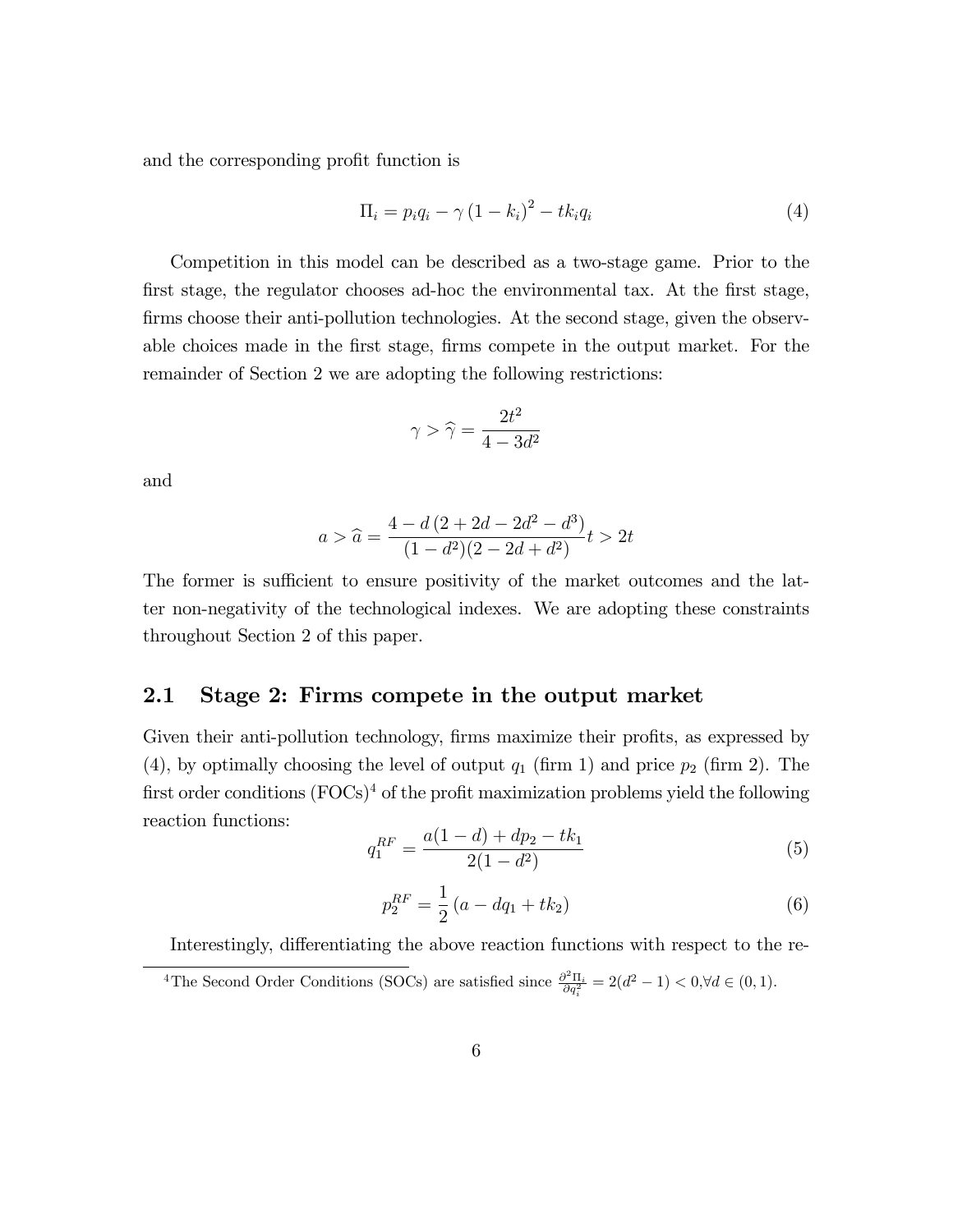and the corresponding profit function is

$$
\Pi_i = p_i q_i - \gamma \left(1 - k_i\right)^2 - t k_i q_i \tag{4}
$$

Competition in this model can be described as a two-stage game. Prior to the first stage, the regulator chooses ad-hoc the environmental tax. At the first stage, firms choose their anti-pollution technologies. At the second stage, given the observable choices made in the first stage, firms compete in the output market. For the remainder of Section 2 we are adopting the following restrictions:

$$
\gamma > \widehat{\gamma} = \frac{2t^2}{4 - 3d^2}
$$

and

$$
a > \widehat{a} = \frac{4 - d(2 + 2d - 2d^2 - d^3)}{(1 - d^2)(2 - 2d + d^2)}t > 2t
$$

The former is sufficient to ensure positivity of the market outcomes and the latter non-negativity of the technological indexes. We are adopting these constraints throughout Section 2 of this paper.

#### 2.1 Stage 2: Firms compete in the output market

Given their anti-pollution technology, firms maximize their profits, as expressed by (4), by optimally choosing the level of output  $q_1$  (firm 1) and price  $p_2$  (firm 2). The first order conditions  $(FOCs)^4$  of the profit maximization problems yield the following reaction functions:

$$
q_1^{RF} = \frac{a(1-d) + dp_2 - tk_1}{2(1-d^2)}
$$
\n(5)

$$
p_2^{RF} = \frac{1}{2} \left( a - dq_1 + tk_2 \right) \tag{6}
$$

Interestingly, differentiating the above reaction functions with respect to the re-

<sup>4</sup>The Second Order Conditions (SOCs) are satisfied since  $\frac{\partial^2 \Pi_i}{\partial q_i^2} = 2(d^2 - 1) < 0, \forall d \in (0, 1)$ .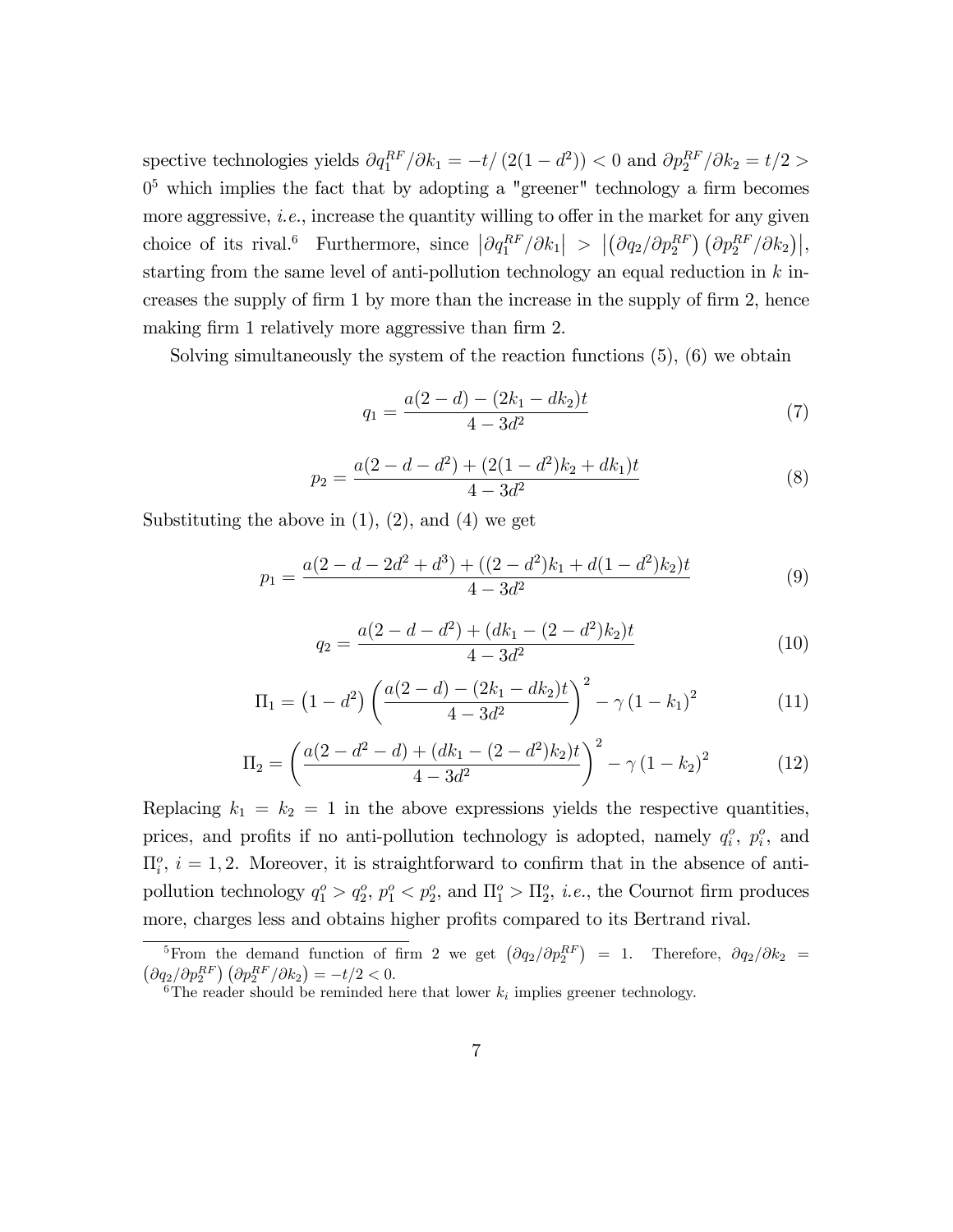spective technologies yields  $\partial q_1^{RF}/\partial k_1 = -t/(2(1-d^2)) < 0$  and  $\partial p_2^{RF}/\partial k_2 = t/2 >$  $0<sup>5</sup>$  which implies the fact that by adopting a "greener" technology a firm becomes more aggressive, *i.e.*, increase the quantity willing to offer in the market for any given choice of its rival.<sup>6</sup> Furthermore, since  $\left|\partial q_1^{RF}/\partial k_1\right| > \left|\left(\partial q_2/\partial p_2^{RF}\right) \left(\partial p_2^{RF}/\partial k_2\right)\right|$ , starting from the same level of anti-pollution technology an equal reduction in  $k$  increases the supply of firm 1 by more than the increase in the supply of firm 2, hence making firm 1 relatively more aggressive than firm 2.

Solving simultaneously the system of the reaction functions (5), (6) we obtain

$$
q_1 = \frac{a(2-d) - (2k_1 - dk_2)t}{4 - 3d^2} \tag{7}
$$

$$
p_2 = \frac{a(2 - d - d^2) + (2(1 - d^2)k_2 + dk_1)t}{4 - 3d^2}
$$
\n(8)

Substituting the above in  $(1)$ ,  $(2)$ , and  $(4)$  we get

$$
p_1 = \frac{a(2 - d - 2d^2 + d^3) + ((2 - d^2)k_1 + d(1 - d^2)k_2)t}{4 - 3d^2}
$$
(9)

$$
q_2 = \frac{a(2 - d - d^2) + (dk_1 - (2 - d^2)k_2)t}{4 - 3d^2}
$$
\n(10)

$$
\Pi_1 = \left(1 - d^2\right) \left( \frac{a(2 - d) - (2k_1 - dk_2)t}{4 - 3d^2} \right)^2 - \gamma \left(1 - k_1\right)^2 \tag{11}
$$

$$
\Pi_2 = \left(\frac{a(2-d^2-d) + (dk_1 - (2-d^2)k_2)t}{4-3d^2}\right)^2 - \gamma (1-k_2)^2 \tag{12}
$$

Replacing  $k_1 = k_2 = 1$  in the above expressions yields the respective quantities, prices, and profits if no anti-pollution technology is adopted, namely  $q_i^o$ ,  $p_i^o$ , and  $\Pi_i^o$ ,  $i = 1, 2$ . Moreover, it is straightforward to confirm that in the absence of antipollution technology  $q_1^o > q_2^o$ ,  $p_1^o < p_2^o$ , and  $\Pi_1^o > \Pi_2^o$ , *i.e.*, the Cournot firm produces more, charges less and obtains higher profits compared to its Bertrand rival.

<sup>&</sup>lt;sup>5</sup>From the demand function of firm 2 we get  $(\partial q_2/\partial p_2^{RF})$ <sup>5</sup>From the demand function of firm 2 we get  $(\partial q_2/\partial p_2^{RF}) = 1$ . Therefore,  $\partial q_2/\partial k_2 = (\partial q_2/\partial p_2^{RF}) (\partial p_2^{RF}/\partial k_2) = -t/2 < 0$ .

<sup>&</sup>lt;sup>6</sup>The reader should be reminded here that lower  $k_i$  implies greener technology.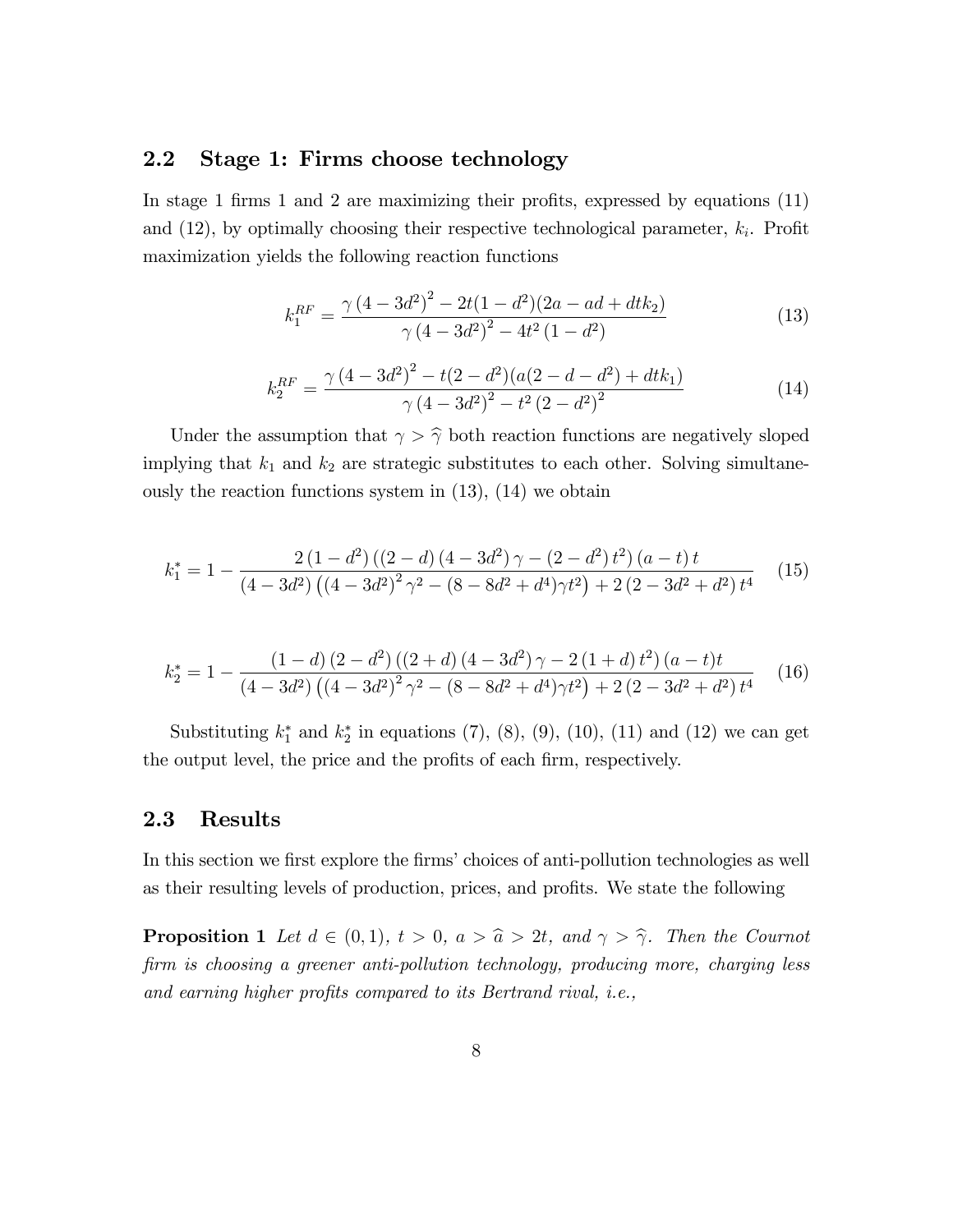## 2.2 Stage 1: Firms choose technology

In stage 1 firms 1 and 2 are maximizing their profits, expressed by equations  $(11)$ and  $(12)$ , by optimally choosing their respective technological parameter,  $k_i$ . Profit maximization yields the following reaction functions

$$
k_1^{RF} = \frac{\gamma (4 - 3d^2)^2 - 2t(1 - d^2)(2a - ad + dt k_2)}{\gamma (4 - 3d^2)^2 - 4t^2(1 - d^2)}
$$
(13)

$$
k_2^{RF} = \frac{\gamma (4 - 3d^2)^2 - t(2 - d^2)(a(2 - d - d^2) + dt k_1)}{\gamma (4 - 3d^2)^2 - t^2 (2 - d^2)^2}
$$
(14)

Under the assumption that  $\gamma > \hat{\gamma}$  both reaction functions are negatively sloped implying that  $k_1$  and  $k_2$  are strategic substitutes to each other. Solving simultaneously the reaction functions system in (13), (14) we obtain

$$
k_1^* = 1 - \frac{2(1-d^2)((2-d)(4-3d^2)\gamma - (2-d^2)t^2)(a-t)t}{(4-3d^2)((4-3d^2)^2\gamma^2 - (8-8d^2+d^4)\gamma t^2) + 2(2-3d^2+d^2)t^4}
$$
(15)

$$
k_2^* = 1 - \frac{(1-d)(2-d^2)((2+d)(4-3d^2)\gamma - 2(1+d)t^2)(a-t)t}{(4-3d^2)((4-3d^2)^2\gamma^2 - (8-8d^2+d^4)\gamma t^2) + 2(2-3d^2+d^2)t^4}
$$
(16)

Substituting  $k_1^*$  and  $k_2^*$  in equations (7), (8), (9), (10), (11) and (12) we can get the output level, the price and the profits of each firm, respectively.

#### 2.3 Results

In this section we first explore the firms' choices of anti-pollution technologies as well as their resulting levels of production, prices, and profits. We state the following

**Proposition 1** Let  $d \in (0,1)$ ,  $t > 0$ ,  $a > \hat{a} > 2t$ , and  $\gamma > \hat{\gamma}$ . Then the Cournot firm is choosing a greener anti-pollution technology, producing more, charging less and earning higher profits compared to its Bertrand rival, *i.e.*,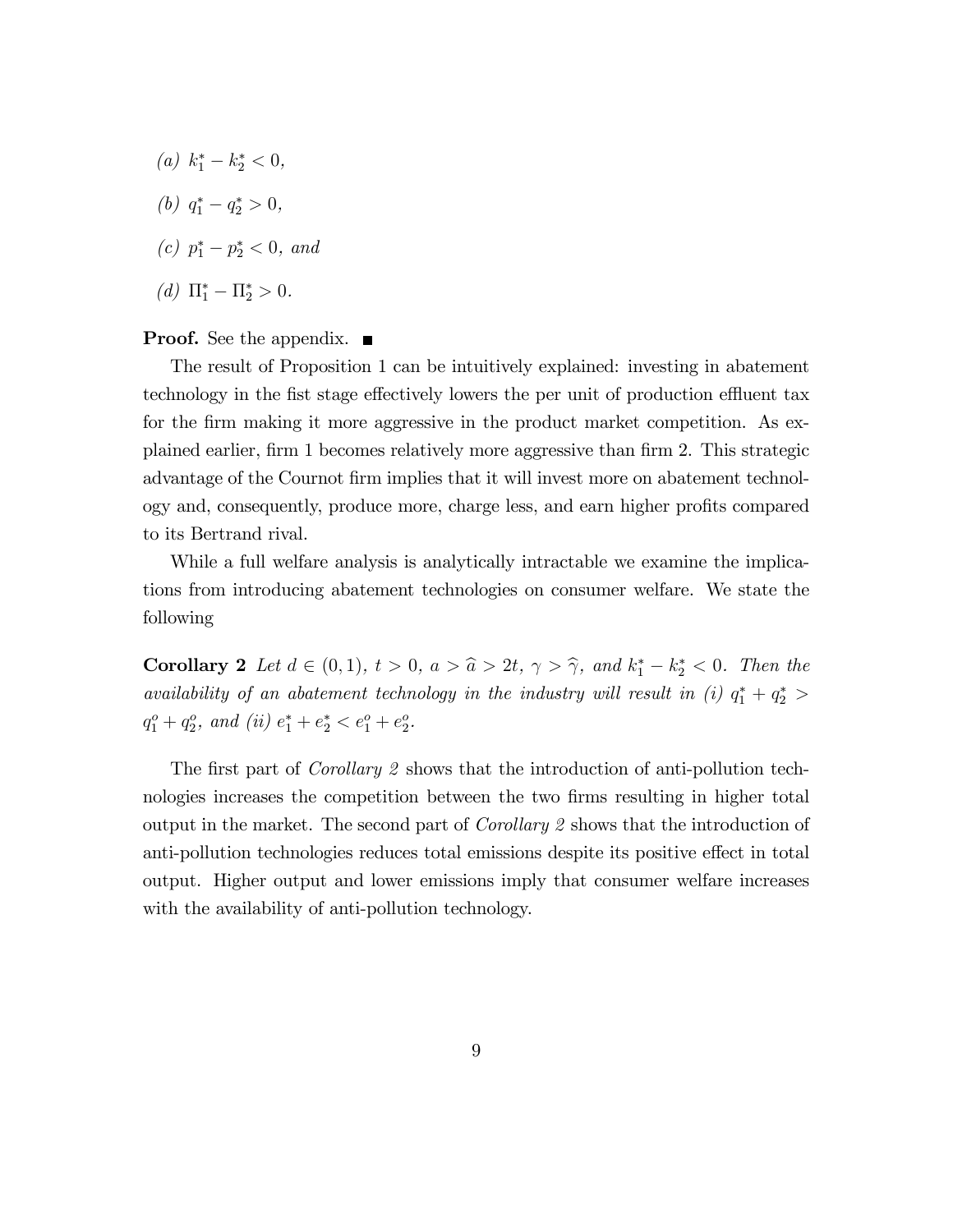- (a)  $k_1^* k_2^* < 0$ ,
- (b)  $q_1^* q_2^* > 0$ ,
- (c)  $p_1^* p_2^* < 0$ , and
- (*d*)  $\Pi_1^* \Pi_2^* > 0$ .

#### **Proof.** See the appendix.  $\blacksquare$

The result of Proposition 1 can be intuitively explained: investing in abatement technology in the fist stage effectively lowers the per unit of production effluent tax for the firm making it more aggressive in the product market competition. As explained earlier, firm 1 becomes relatively more aggressive than firm 2. This strategic advantage of the Cournot firm implies that it will invest more on abatement technology and, consequently, produce more, charge less, and earn higher profits compared to its Bertrand rival.

While a full welfare analysis is analytically intractable we examine the implications from introducing abatement technologies on consumer welfare. We state the following

**Corollary 2** Let  $d \in (0,1)$ ,  $t > 0$ ,  $a > \hat{a} > 2t$ ,  $\gamma > \hat{\gamma}$ , and  $k_1^* - k_2^* < 0$ . Then the availability of an abatement technology in the industry will result in (i)  $q_1^* + q_2^*$  >  $q_1^o + q_2^o$ , and (ii)  $e_1^* + e_2^* < e_1^o + e_2^o$ .

The first part of *Corollary 2* shows that the introduction of anti-pollution technologies increases the competition between the two firms resulting in higher total output in the market. The second part of Corollary 2 shows that the introduction of anti-pollution technologies reduces total emissions despite its positive effect in total output. Higher output and lower emissions imply that consumer welfare increases with the availability of anti-pollution technology.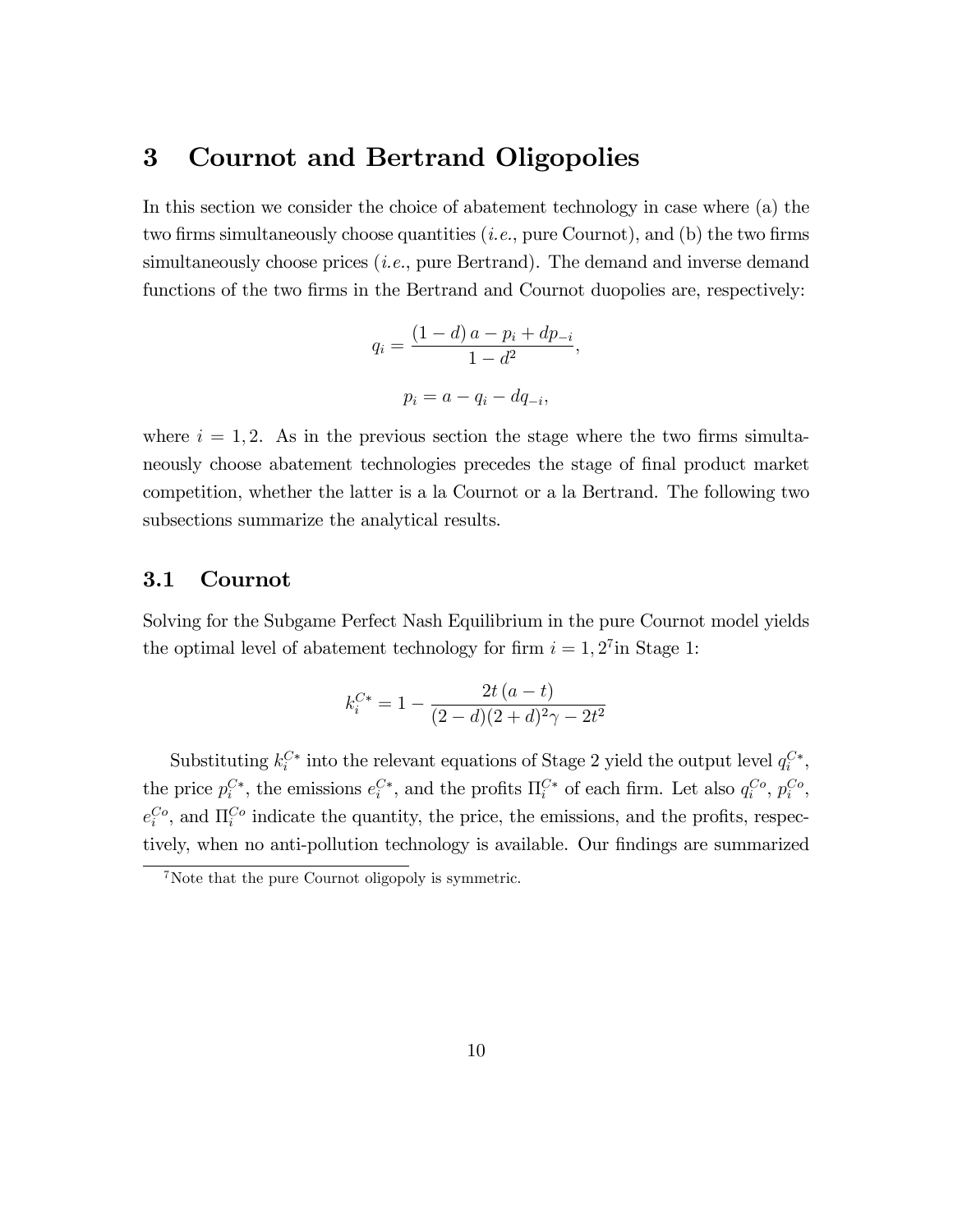## 3 Cournot and Bertrand Oligopolies

In this section we consider the choice of abatement technology in case where (a) the two firms simultaneously choose quantities  $(i.e.,$  pure Cournot), and (b) the two firms simultaneously choose prices  $(i.e.,$  pure Bertrand). The demand and inverse demand functions of the two firms in the Bertrand and Cournot duopolies are, respectively:

$$
q_i = \frac{(1-d)a - p_i + dp_{-i}}{1 - d^2},
$$

$$
p_i = a - q_i - dq_{-i},
$$

where  $i = 1, 2$ . As in the previous section the stage where the two firms simultaneously choose abatement technologies precedes the stage of final product market competition, whether the latter is a la Cournot or a la Bertrand. The following two subsections summarize the analytical results.

## 3.1 Cournot

Solving for the Subgame Perfect Nash Equilibrium in the pure Cournot model yields the optimal level of abatement technology for firm  $i = 1, 2<sup>7</sup>$  in Stage 1:

$$
k_i^{C*} = 1 - \frac{2t (a - t)}{(2 - d)(2 + d)^2 \gamma - 2t^2}
$$

Substituting  $k_i^{C*}$  into the relevant equations of Stage 2 yield the output level  $q_i^{C*}$ , the price  $p_i^{C*}$ , the emissions  $e_i^{C*}$ , and the profits  $\Pi_i^{C*}$  of each firm. Let also  $q_i^{Co}$ ,  $p_i^{Co}$ ,  $e_i^{Co}$ , and  $\Pi_i^{Co}$  indicate the quantity, the price, the emissions, and the profits, respectively, when no anti-pollution technology is available. Our findings are summarized

<sup>&</sup>lt;sup>7</sup>Note that the pure Cournot oligopoly is symmetric.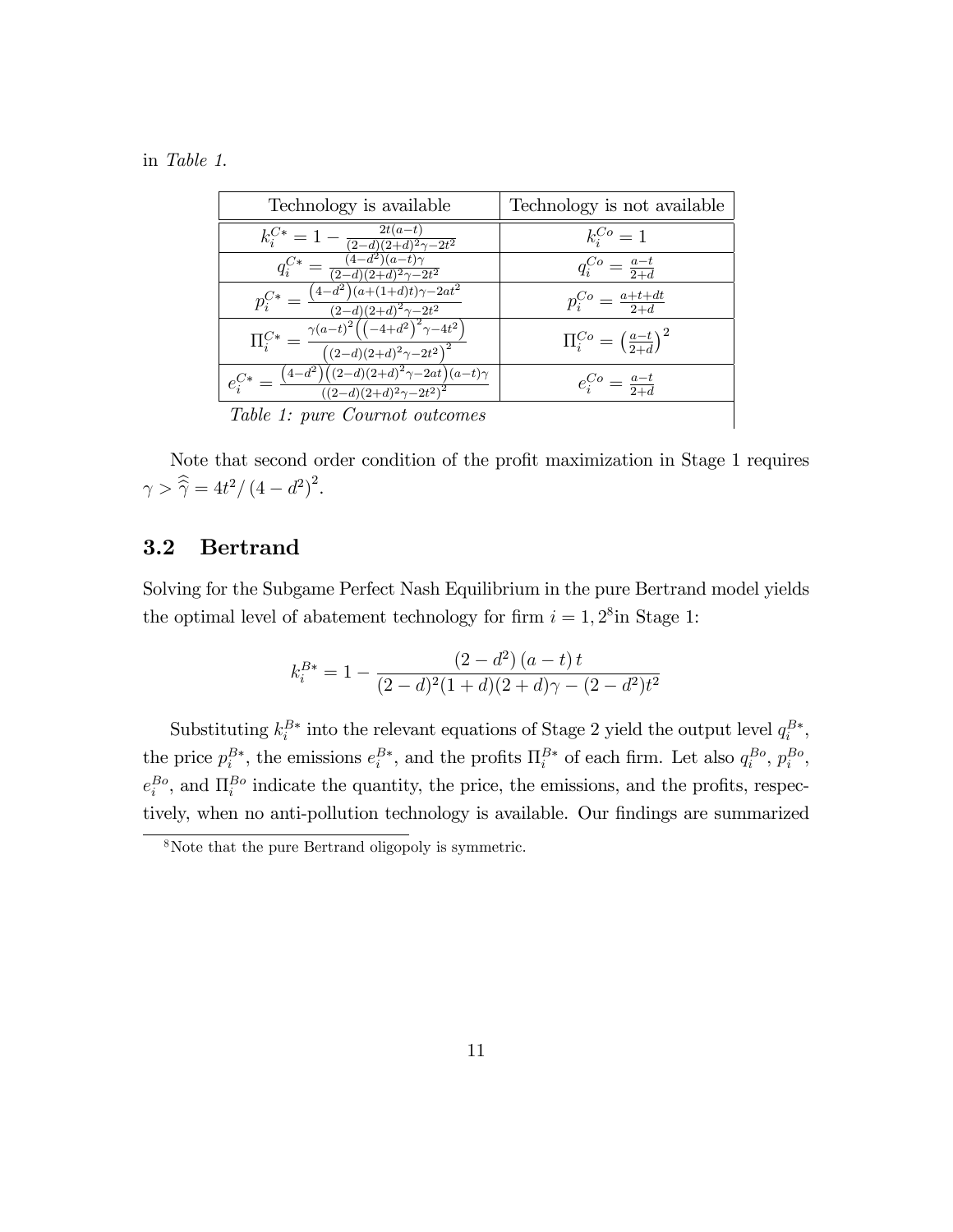in Table 1.

| Technology is available                                                                                                                         | Technology is not available                   |
|-------------------------------------------------------------------------------------------------------------------------------------------------|-----------------------------------------------|
| $k_i^{C*} = 1 - \frac{2t(a-t)}{(2-d)(2+d)^2\gamma - 2t^2}$                                                                                      | $k_i^{Co} = 1$                                |
| $q_i^{\overline{C*}}$ .<br>$=\frac{1}{(2-d)(2+d)^2\gamma-2t^2}$                                                                                 | $q_i^{Co} = \frac{a-t}{2+d}$                  |
| $\left(4\!-\!d^2\right)\!\left(a\!+\! (1\!+\!d)t\right)\!\gamma\!-\!\overline{2at^2}$<br>$p^{C*}_{\cdot}$ –<br>$\sqrt{(2-d)(2+d)^2\gamma-2t^2}$ | $p_i^{Co} = \frac{a+t+dt}{2+d}$               |
| $\Pi^{C*}_i = \frac{\gamma(a-t)^2\left(\left(-4+d^2\right)^2\gamma-4t^2\right)}{2}$<br>$\frac{1}{((2-d)(2+d)^2\gamma-2t^2)^2}$                  | $\Pi_i^{Co} = \left(\frac{a-t}{2+d}\right)^2$ |
| $\frac{\left(4-d^2\right)\left((2-d)(2+d)^2\gamma-2at\right)(a-t)\gamma}{\left((2-d)(2+d)^2\gamma-2t^2\right)^2}$<br>$e^{C*}_{i}$ =             | $e_i^{Co} = \frac{a-t}{2+d}$                  |
| Table 1: pure Cournot outcomes                                                                                                                  |                                               |

Table 1: pure Cournot outcomes

Note that second order condition of the profit maximization in Stage 1 requires  $\gamma > \hat{\hat{\gamma}} = 4t^2/(4-d^2)^2.$ 

## 3.2 Bertrand

Solving for the Subgame Perfect Nash Equilibrium in the pure Bertrand model yields the optimal level of abatement technology for firm  $i = 1, 2^8$  in Stage 1:

$$
k_i^{B*} = 1 - \frac{(2-d^2)(a-t)t}{(2-d)^2(1+d)(2+d)\gamma - (2-d^2)t^2}
$$

Substituting  $k_i^{B*}$  into the relevant equations of Stage 2 yield the output level  $q_i^{B*}$ , the price  $p_i^{B*}$ , the emissions  $e_i^{B*}$ , and the profits  $\Pi_i^{B*}$  of each firm. Let also  $q_i^{Bo}$ ,  $p_i^{Bo}$ ,  $e_i^{Bo}$ , and  $\Pi_i^{Bo}$  indicate the quantity, the price, the emissions, and the profits, respectively, when no anti-pollution technology is available. Our findings are summarized

<sup>8</sup>Note that the pure Bertrand oligopoly is symmetric.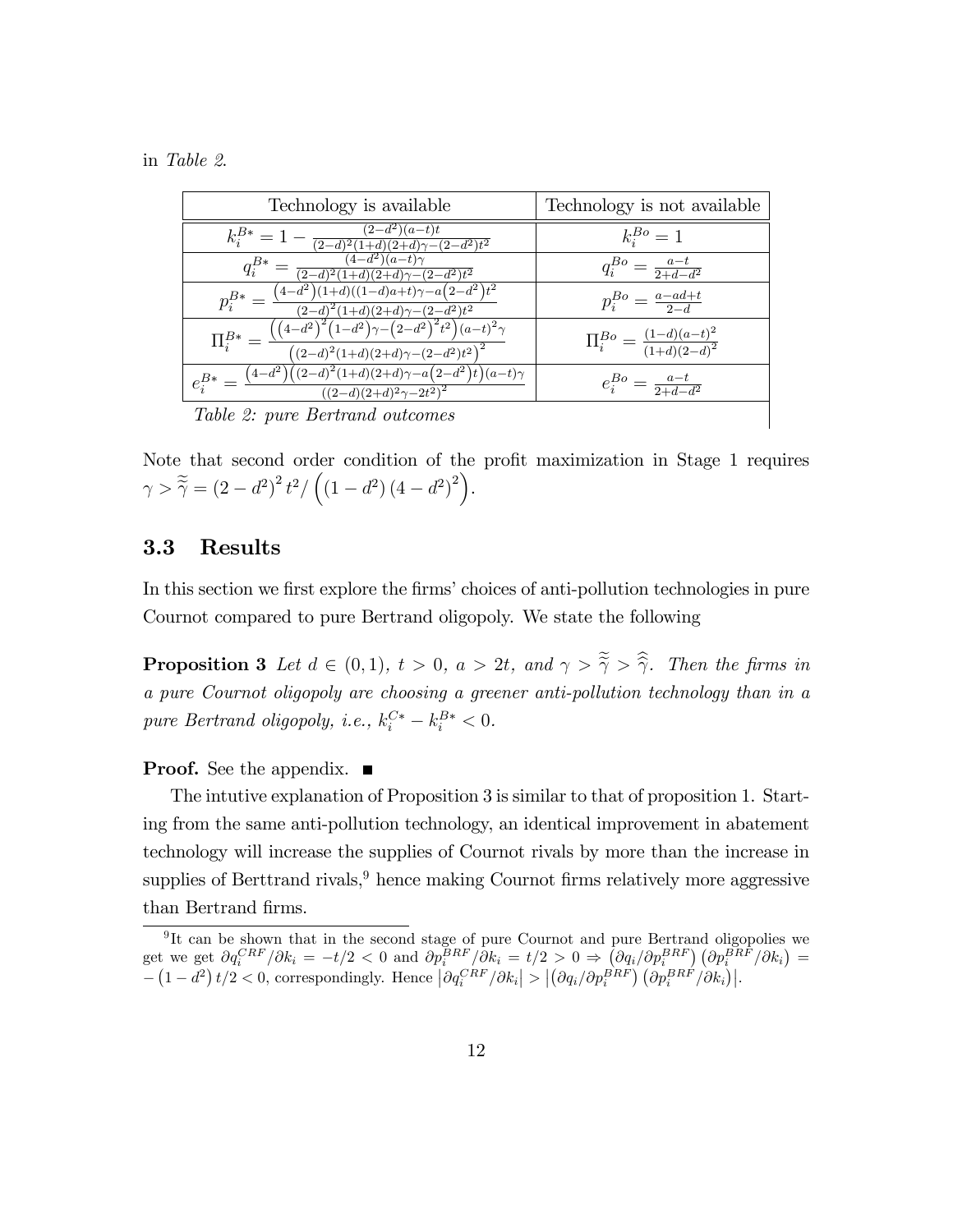in Table 2.

| Technology is available                                                                                                                                                                                                          | Technology is not available                      |  |  |  |
|----------------------------------------------------------------------------------------------------------------------------------------------------------------------------------------------------------------------------------|--------------------------------------------------|--|--|--|
| $k_i^{B*} = 1 - \frac{(2-d^2)(a-t)t}{(2-d)^2(1+d)(2+d)\gamma - (2-d^2)t^2}$                                                                                                                                                      | $k_i^{Bo} = 1$                                   |  |  |  |
| $(4-d^2)(a-t)\gamma$<br>$q_i^{B*} = \frac{\frac{(4-d)}{(2-d)^2(1+d)(2+d)\gamma - (2-d^2)t^2}}{(2-d)^2(1+d)(2+d)\gamma - (2-d^2)t^2}}$                                                                                            | $q_i^{Bo} = \frac{a-t}{2+d-d^2}$                 |  |  |  |
| $p_i^{B*} = \frac{(4-d^2)(1+d)((1-d)a+t)\gamma - a(2-d^2)t^2}{(2-d)^2(1+d)(2+d)\gamma - (2-d^2)t^2}$                                                                                                                             | $p_i^{Bo} = \frac{a-ad+t}{2}$                    |  |  |  |
| $\Pi_i^{B*} = \frac{\left(\left(4-d^2\right)^2 \left(1-d^2\right) \gamma - \left(2-d^2\right)^2 t^2\right) (a-t)^2 \gamma}{\left(\left(2-d\right)^2 \left(1+d\right) \left(2+d\right) \gamma - \left(2-d^2\right) t^2\right)^2}$ | $\Pi_i^{Bo} = \frac{(1-d)(a-t)^2}{(1+d)(2-d)^2}$ |  |  |  |
| $e_i^{B*} = \frac{(4-d^2)((2-d)^2(1+d)(2+d)\gamma - a(2-d^2)i)(a-t)\gamma}{((2-d)(2+d)^2\gamma - 2t^2)^2}$                                                                                                                       | $e_i^{Bo} = \frac{a-t}{2+d-d^2}$                 |  |  |  |
| Table 2: pure Bertrand outcomes                                                                                                                                                                                                  |                                                  |  |  |  |

Table 2: pure Bertrand outcomes

Note that second order condition of the profit maximization in Stage 1 requires  $\gamma > \tilde{\tilde{\gamma}} = (2 - d^2)^2 t^2 / ((1 - d^2) (4 - d^2)^2).$ 

#### 3.3 Results

In this section we first explore the firms' choices of anti-pollution technologies in pure Cournot compared to pure Bertrand oligopoly. We state the following

**Proposition 3** Let  $d \in (0,1)$ ,  $t > 0$ ,  $a > 2t$ , and  $\gamma > \tilde{\gamma} > \tilde{\gamma}$ . Then the firms in a pure Cournot oligopoly are choosing a greener anti-pollution technology than in a pure Bertrand oligopoly, i.e.,  $k_i^{C*} - k_i^{B*} < 0$ .

#### **Proof.** See the appendix. ■

The intutive explanation of Proposition 3 is similar to that of proposition 1. Starting from the same anti-pollution technology, an identical improvement in abatement technology will increase the supplies of Cournot rivals by more than the increase in supplies of Berttrand rivals, $9$  hence making Cournot firms relatively more aggressive than Bertrand firms.

<sup>&</sup>lt;sup>9</sup>It can be shown that in the second stage of pure Cournot and pure Bertrand oligopolies we get we get  $\partial q_i^{CRF}/\partial k_i = -t/2 < 0$  and  $\partial p_i^{BRF}/\partial k_i = t/2 > 0 \Rightarrow \left(\partial q_i/\partial p_i^{BRF}\right) \left(\partial p_i^{BRF}/\partial k_i\right) =$  $-\left(1-d^2\right)t/2 < 0$ , correspondingly. Hence  $\left|\partial q_i^{CRF}/\partial k_i\right| > \left|\left(\partial q_i/\partial p_i^{BRF}\right)\left(\partial p_i^{BRF}/\partial k_i\right)\right|$ .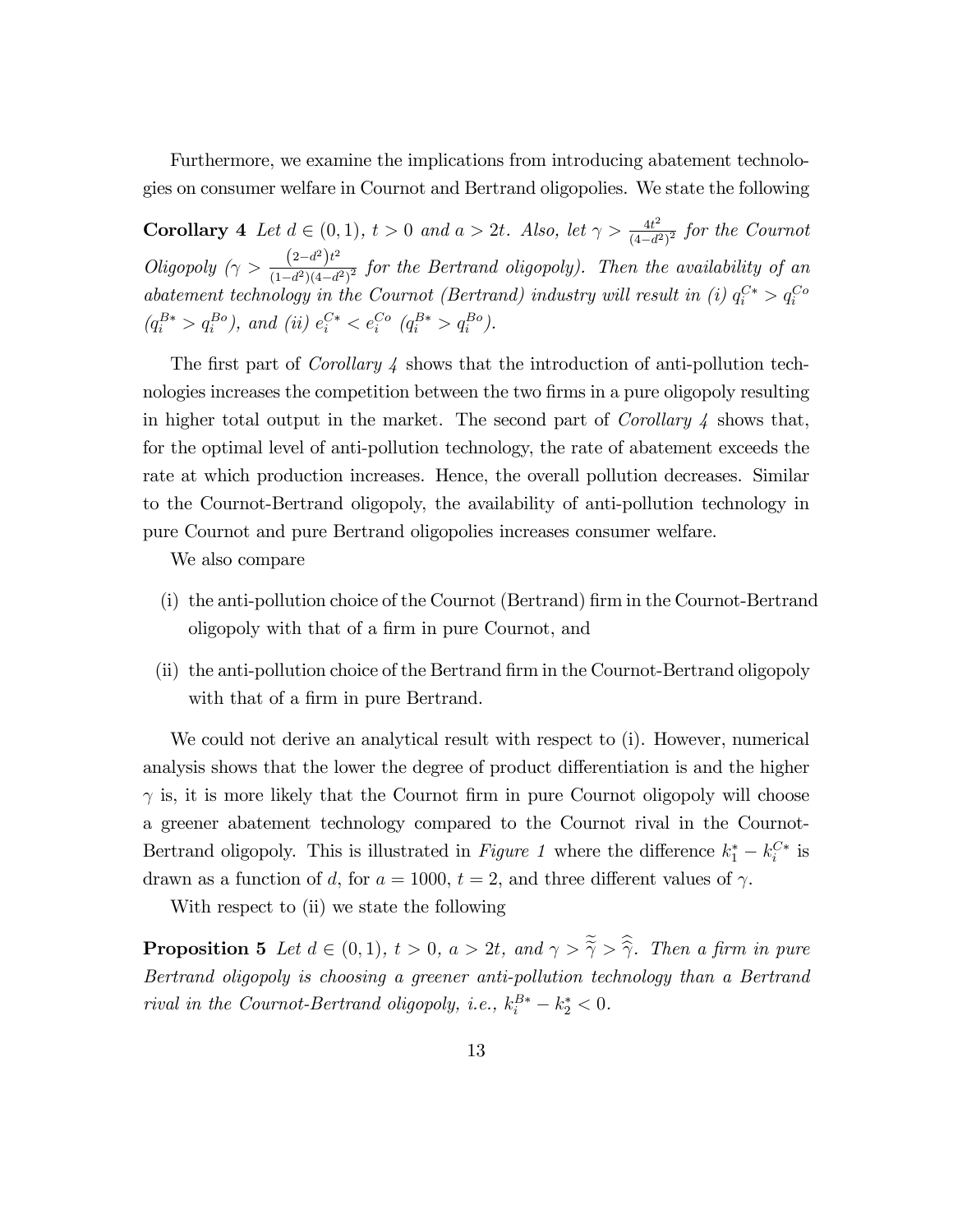Furthermore, we examine the implications from introducing abatement technologies on consumer welfare in Cournot and Bertrand oligopolies. We state the following

**Corollary 4** Let  $d \in (0, 1)$ ,  $t > 0$  and  $a > 2t$ . Also, let  $\gamma > \frac{4t^2}{(4-d^2)^2}$  $\frac{4t^2}{(4-d^2)^2}$  for the Cournot Oligopoly  $(\gamma > \frac{(2-d^2)t^2}{(1-d^2)(4-d^2)t^2})$  $\frac{(2-a)^2}{(1-d^2)(4-d^2)^2}$  for the Bertrand oligopoly). Then the availability of an abatement technology in the Cournot (Bertrand) industry will result in (i)  $q_i^{C*} > q_i^{Co}$  $(q_i^{B*} > q_i^{Bo})$ , and (ii)  $e_i^{C*} < e_i^{Co}$   $(q_i^{B*} > q_i^{Bo})$ .

The first part of *Corollary 4* shows that the introduction of anti-pollution technologies increases the competition between the two firms in a pure oligopoly resulting in higher total output in the market. The second part of *Corollary 4* shows that, for the optimal level of anti-pollution technology, the rate of abatement exceeds the rate at which production increases. Hence, the overall pollution decreases. Similar to the Cournot-Bertrand oligopoly, the availability of anti-pollution technology in pure Cournot and pure Bertrand oligopolies increases consumer welfare.

We also compare

- (i) the anti-pollution choice of the Cournot (Bertrand) Örm in the Cournot-Bertrand oligopoly with that of a firm in pure Cournot, and
- (ii) the anti-pollution choice of the Bertrand Örm in the Cournot-Bertrand oligopoly with that of a firm in pure Bertrand.

We could not derive an analytical result with respect to (i). However, numerical analysis shows that the lower the degree of product differentiation is and the higher  $\gamma$  is, it is more likely that the Cournot firm in pure Cournot oligopoly will choose a greener abatement technology compared to the Cournot rival in the Cournot-Bertrand oligopoly. This is illustrated in *Figure 1* where the difference  $k_1^* - k_i^{C*}$  is drawn as a function of d, for  $a = 1000$ ,  $t = 2$ , and three different values of  $\gamma$ .

With respect to (ii) we state the following

**Proposition 5** Let  $d \in (0,1)$ ,  $t > 0$ ,  $a > 2t$ , and  $\gamma > \tilde{\gamma} > \tilde{\gamma}$ . Then a firm in pure Bertrand oligopoly is choosing a greener anti-pollution technology than a Bertrand rival in the Cournot-Bertrand oligopoly, i.e.,  $k_i^{B*} - k_2^* < 0$ .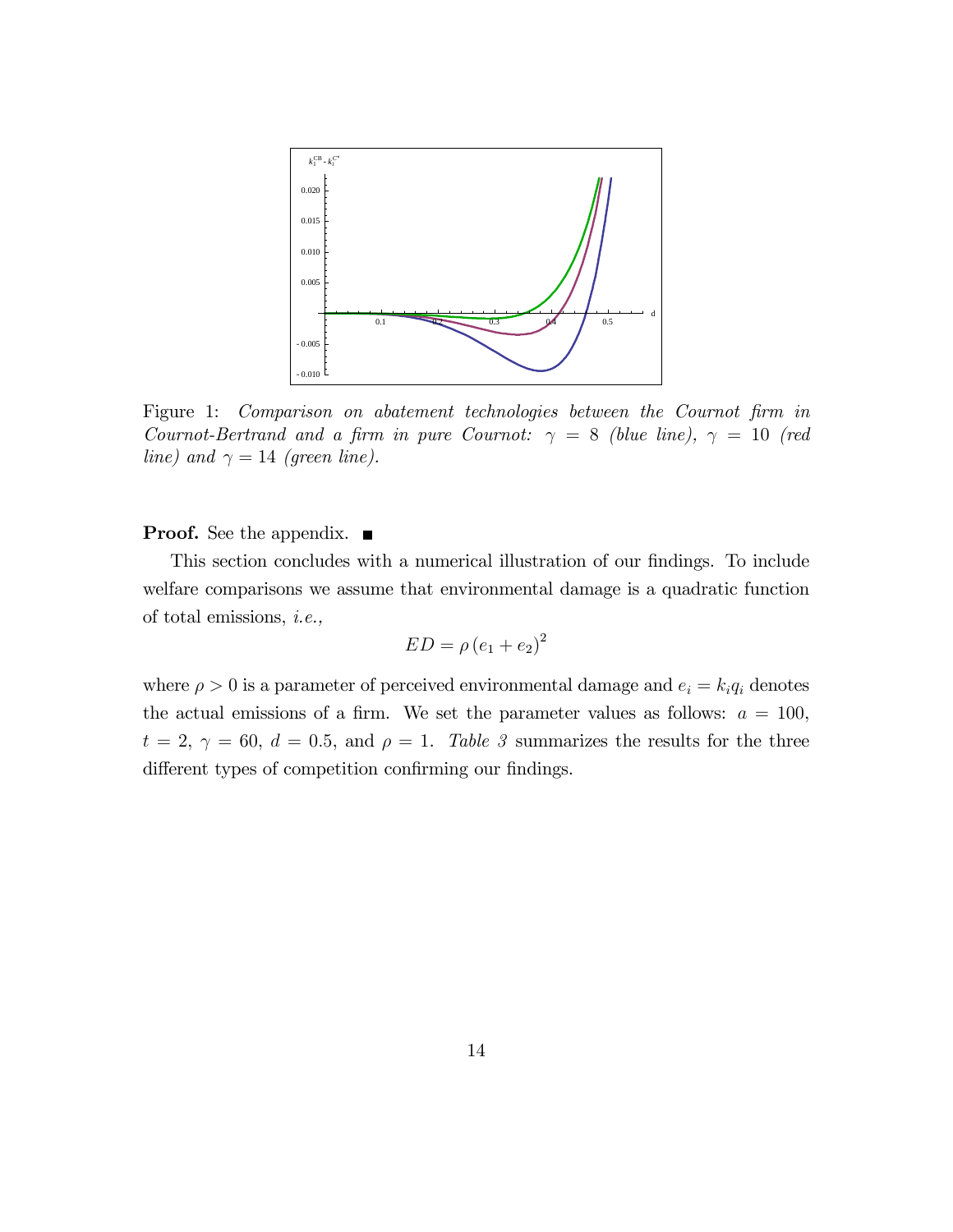

Figure 1: Comparison on abatement technologies between the Cournot firm in Cournot-Bertrand and a firm in pure Cournot:  $\gamma = 8$  (blue line),  $\gamma = 10$  (red line) and  $\gamma = 14$  (green line).

#### **Proof.** See the appendix.  $\blacksquare$

This section concludes with a numerical illustration of our findings. To include welfare comparisons we assume that environmental damage is a quadratic function of total emissions, i.e.,

$$
ED = \rho (e_1 + e_2)^2
$$

where  $\rho > 0$  is a parameter of perceived environmental damage and  $e_i = k_i q_i$  denotes the actual emissions of a firm. We set the parameter values as follows:  $a = 100$ ,  $t = 2, \gamma = 60, d = 0.5, \text{ and } \rho = 1.$  Table 3 summarizes the results for the three different types of competition confirming our findings.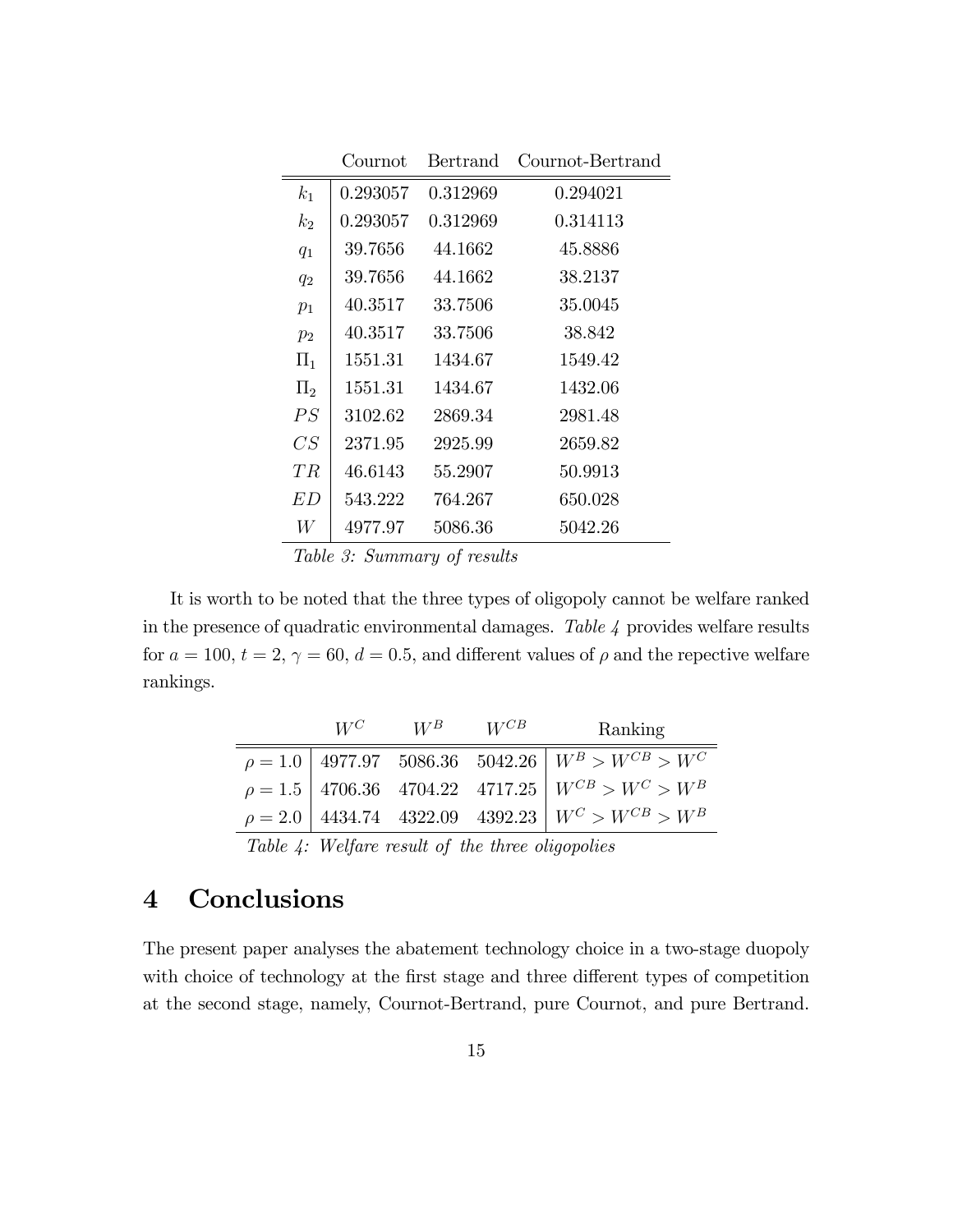|                | Cournot  | Bertrand | Cournot-Bertrand |
|----------------|----------|----------|------------------|
| $k_1$          | 0.293057 | 0.312969 | 0.294021         |
| k <sub>2</sub> | 0.293057 | 0.312969 | 0.314113         |
| $q_1$          | 39.7656  | 44.1662  | 45.8886          |
| $q_2$          | 39.7656  | 44.1662  | 38.2137          |
| $p_1$          | 40.3517  | 33.7506  | 35.0045          |
| $p_2$          | 40.3517  | 33.7506  | 38.842           |
| $\Pi_1$        | 1551.31  | 1434.67  | 1549.42          |
| $\Pi_2$        | 1551.31  | 1434.67  | 1432.06          |
| PS             | 3102.62  | 2869.34  | 2981.48          |
| CS             | 2371.95  | 2925.99  | 2659.82          |
| TR             | 46.6143  | 55.2907  | 50.9913          |
| E D            | 543.222  | 764.267  | 650.028          |
| W              | 4977.97  | 5086.36  | 5042.26          |

Table 3: Summary of results

It is worth to be noted that the three types of oligopoly cannot be welfare ranked in the presence of quadratic environmental damages. Table 4 provides welfare results for  $a = 100$ ,  $t = 2$ ,  $\gamma = 60$ ,  $d = 0.5$ , and different values of  $\rho$  and the repective welfare rankings.

|                                                                                                                                                        |  | $W^C$ $W^B$ $W^{CB}$ |  | Ranking                                                       |
|--------------------------------------------------------------------------------------------------------------------------------------------------------|--|----------------------|--|---------------------------------------------------------------|
|                                                                                                                                                        |  |                      |  | $\rho = 1.0$   4977.97 5086.36 5042.26 $W^B > W^{CB} > W^C$   |
|                                                                                                                                                        |  |                      |  | $\rho = 1.5$ 4706.36 4704.22 4717.25 $W^{CB} > W^{C} > W^{B}$ |
|                                                                                                                                                        |  |                      |  | $\rho = 2.0$ 4434.74 4322.09 4392.23 $W^C > W^{CB} > W^B$     |
| $\tau$ , $\tau$ , $\tau$ , $\tau$ , $\tau$ , $\tau$ , $\tau$ , $\tau$ , $\tau$ , $\tau$ , $\tau$ , $\tau$ , $\tau$ , $\tau$ , $\tau$ , $\tau$ , $\tau$ |  |                      |  |                                                               |

Table 4: Welfare result of the three oligopolies

# 4 Conclusions

The present paper analyses the abatement technology choice in a two-stage duopoly with choice of technology at the first stage and three different types of competition at the second stage, namely, Cournot-Bertrand, pure Cournot, and pure Bertrand.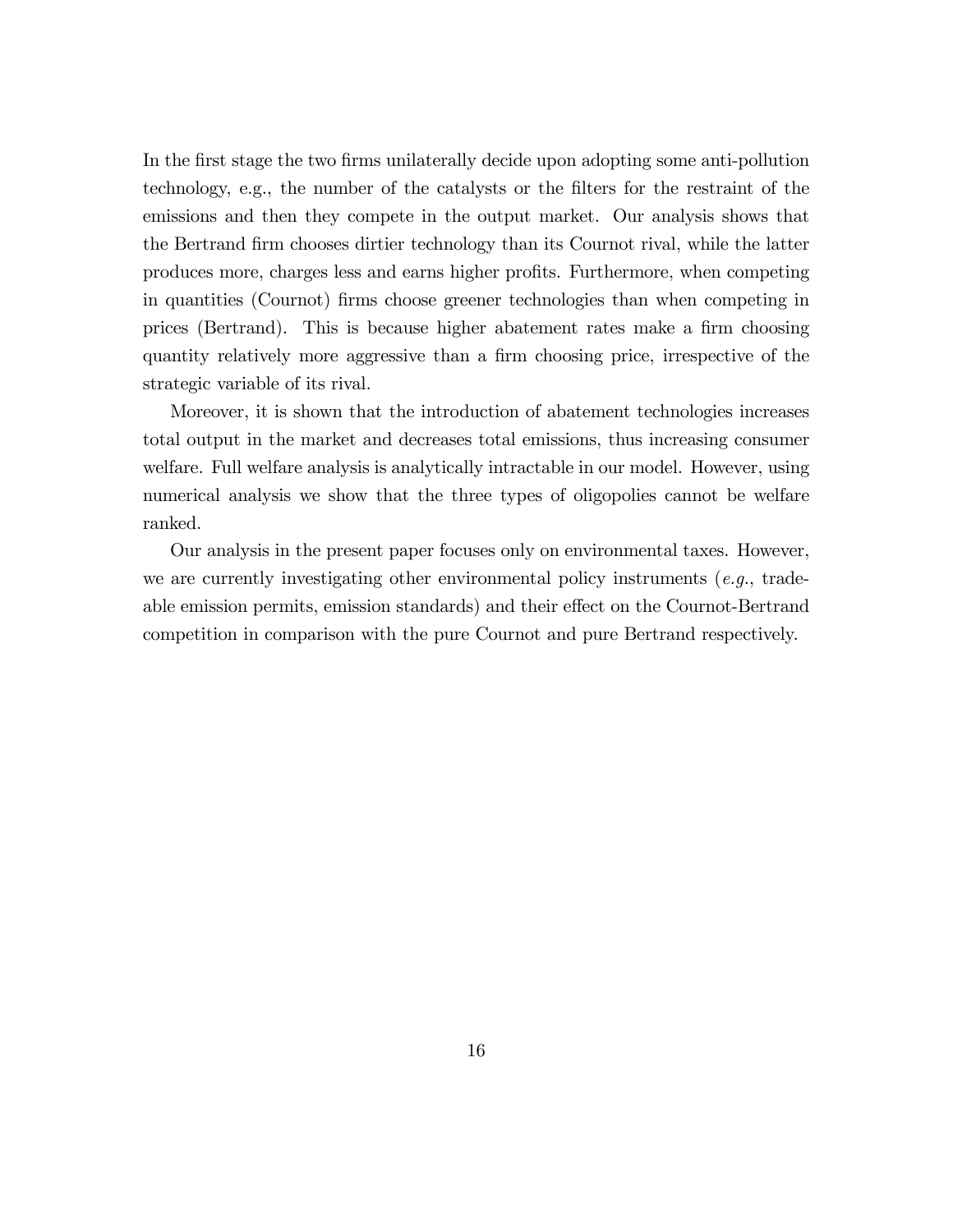In the first stage the two firms unilaterally decide upon adopting some anti-pollution technology, e.g., the number of the catalysts or the filters for the restraint of the emissions and then they compete in the output market. Our analysis shows that the Bertrand Örm chooses dirtier technology than its Cournot rival, while the latter produces more, charges less and earns higher profits. Furthermore, when competing in quantities (Cournot) Örms choose greener technologies than when competing in prices (Bertrand). This is because higher abatement rates make a firm choosing quantity relatively more aggressive than a firm choosing price, irrespective of the strategic variable of its rival.

Moreover, it is shown that the introduction of abatement technologies increases total output in the market and decreases total emissions, thus increasing consumer welfare. Full welfare analysis is analytically intractable in our model. However, using numerical analysis we show that the three types of oligopolies cannot be welfare ranked.

Our analysis in the present paper focuses only on environmental taxes. However, we are currently investigating other environmental policy instruments (e.g., tradeable emission permits, emission standards) and their effect on the Cournot-Bertrand competition in comparison with the pure Cournot and pure Bertrand respectively.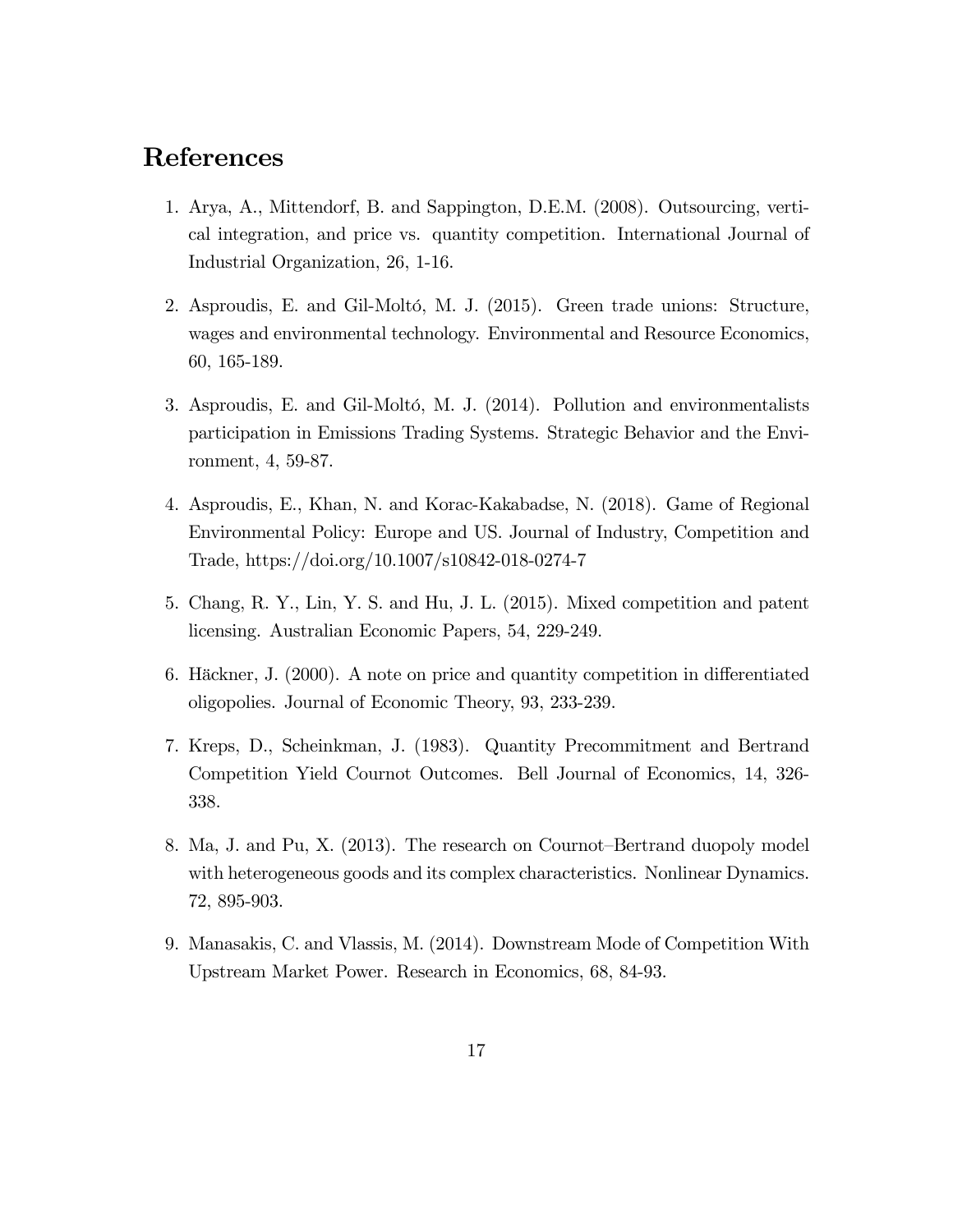# References

- 1. Arya, A., Mittendorf, B. and Sappington, D.E.M. (2008). Outsourcing, vertical integration, and price vs. quantity competition. International Journal of Industrial Organization, 26, 1-16.
- 2. Asproudis, E. and Gil-Moltó, M. J. (2015). Green trade unions: Structure, wages and environmental technology. Environmental and Resource Economics, 60, 165-189.
- 3. Asproudis, E. and Gil-Moltó, M. J. (2014). Pollution and environmentalists participation in Emissions Trading Systems. Strategic Behavior and the Environment, 4, 59-87.
- 4. Asproudis, E., Khan, N. and Korac-Kakabadse, N. (2018). Game of Regional Environmental Policy: Europe and US. Journal of Industry, Competition and Trade, https://doi.org/10.1007/s10842-018-0274-7
- 5. Chang, R. Y., Lin, Y. S. and Hu, J. L. (2015). Mixed competition and patent licensing. Australian Economic Papers, 54, 229-249.
- 6. Häckner, J.  $(2000)$ . A note on price and quantity competition in differentiated oligopolies. Journal of Economic Theory, 93, 233-239.
- 7. Kreps, D., Scheinkman, J. (1983). Quantity Precommitment and Bertrand Competition Yield Cournot Outcomes. Bell Journal of Economics, 14, 326- 338.
- 8. Ma, J. and Pu, X. (2013). The research on Cournot–Bertrand duopoly model with heterogeneous goods and its complex characteristics. Nonlinear Dynamics. 72, 895-903.
- 9. Manasakis, C. and Vlassis, M. (2014). Downstream Mode of Competition With Upstream Market Power. Research in Economics, 68, 84-93.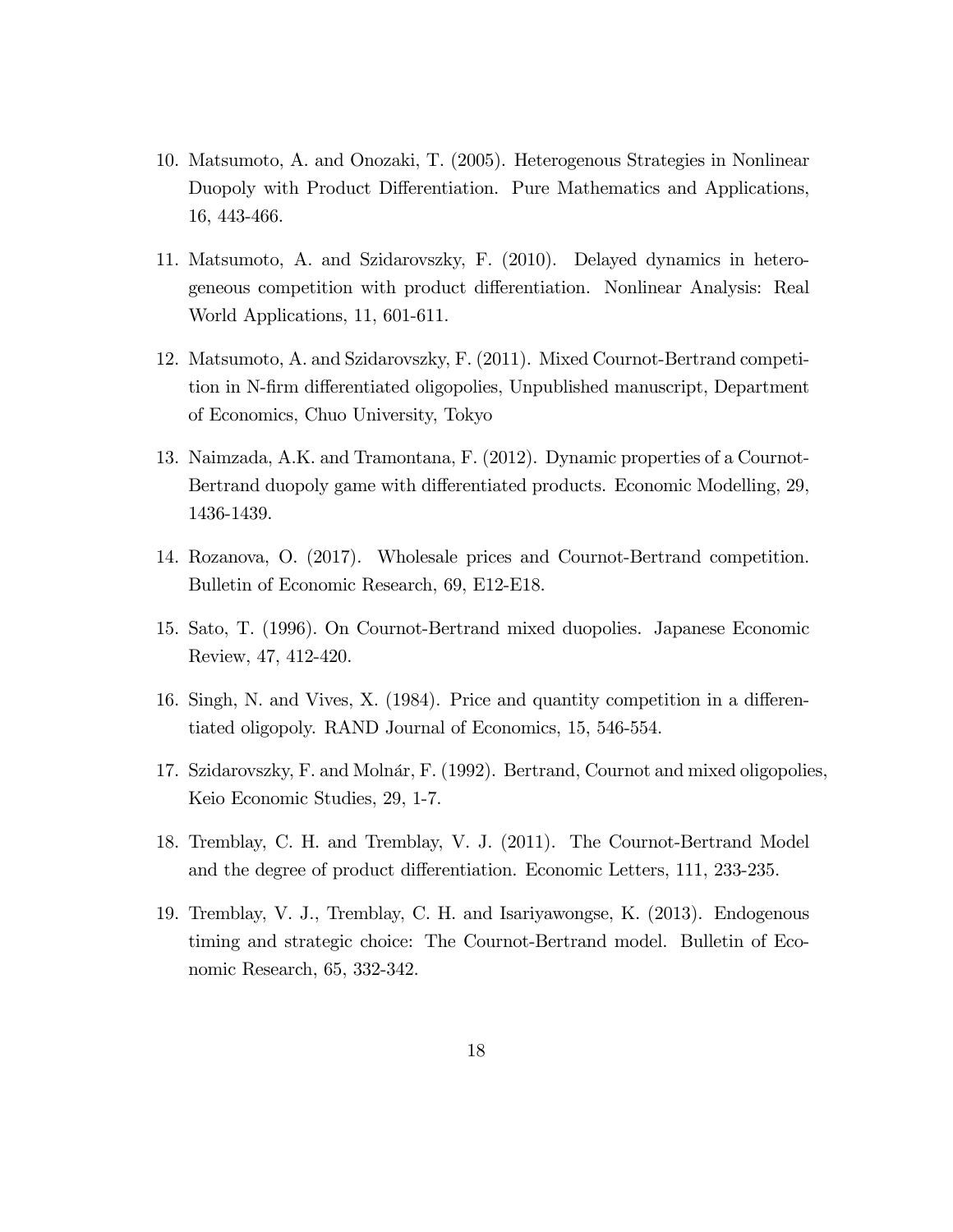- 10. Matsumoto, A. and Onozaki, T. (2005). Heterogenous Strategies in Nonlinear Duopoly with Product Differentiation. Pure Mathematics and Applications, 16, 443-466.
- 11. Matsumoto, A. and Szidarovszky, F. (2010). Delayed dynamics in heterogeneous competition with product differentiation. Nonlinear Analysis: Real World Applications, 11, 601-611.
- 12. Matsumoto, A. and Szidarovszky, F. (2011). Mixed Cournot-Bertrand competition in N-firm differentiated oligopolies, Unpublished manuscript, Department of Economics, Chuo University, Tokyo
- 13. Naimzada, A.K. and Tramontana, F. (2012). Dynamic properties of a Cournot-Bertrand duopoly game with differentiated products. Economic Modelling, 29, 1436-1439.
- 14. Rozanova, O. (2017). Wholesale prices and Cournot-Bertrand competition. Bulletin of Economic Research, 69, E12-E18.
- 15. Sato, T. (1996). On Cournot-Bertrand mixed duopolies. Japanese Economic Review, 47, 412-420.
- 16. Singh, N. and Vives, X. (1984). Price and quantity competition in a differentiated oligopoly. RAND Journal of Economics, 15, 546-554.
- 17. Szidarovszky, F. and Molnár, F. (1992). Bertrand, Cournot and mixed oligopolies, Keio Economic Studies, 29, 1-7.
- 18. Tremblay, C. H. and Tremblay, V. J. (2011). The Cournot-Bertrand Model and the degree of product differentiation. Economic Letters, 111, 233-235.
- 19. Tremblay, V. J., Tremblay, C. H. and Isariyawongse, K. (2013). Endogenous timing and strategic choice: The Cournot-Bertrand model. Bulletin of Economic Research, 65, 332-342.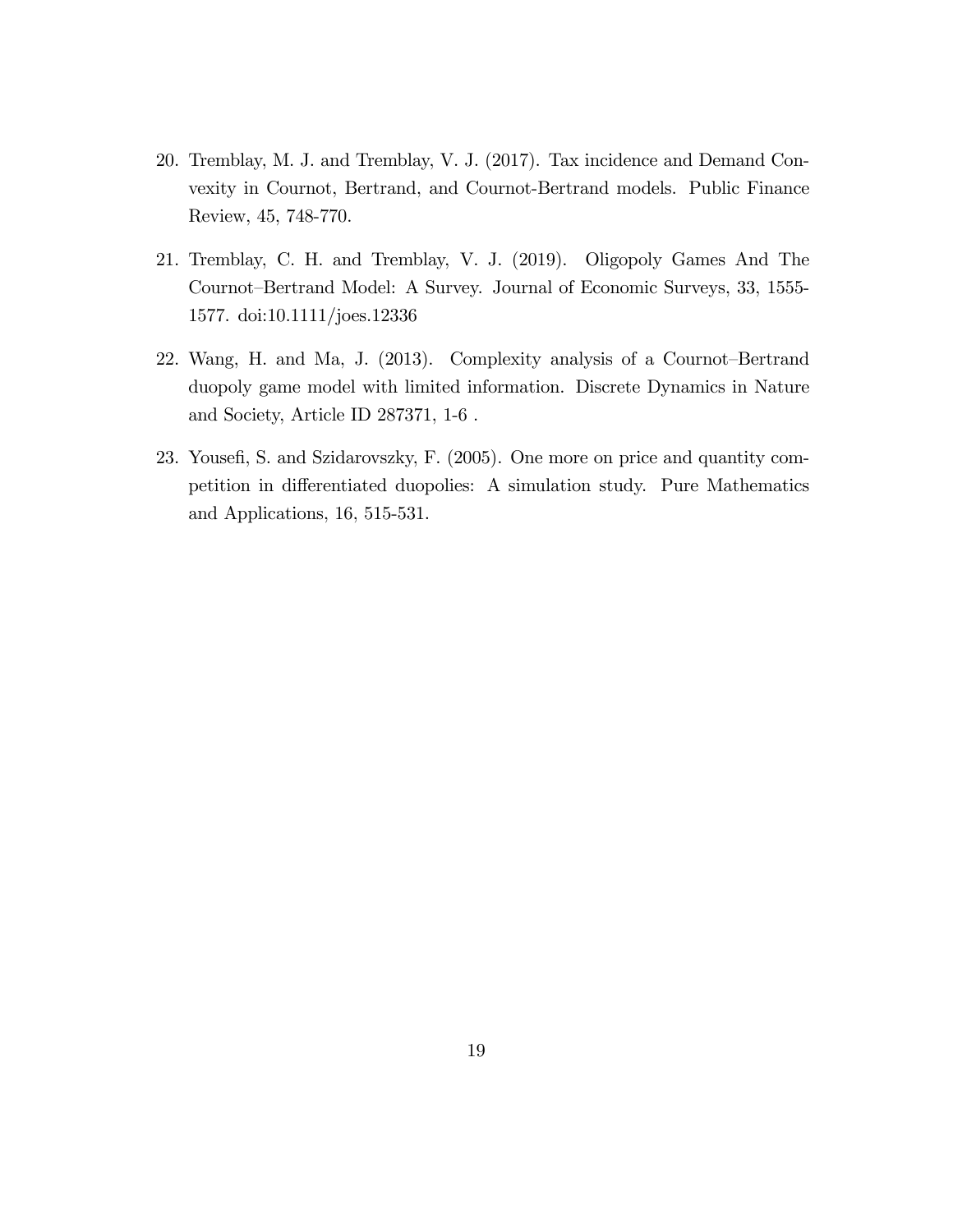- 20. Tremblay, M. J. and Tremblay, V. J. (2017). Tax incidence and Demand Convexity in Cournot, Bertrand, and Cournot-Bertrand models. Public Finance Review, 45, 748-770.
- 21. Tremblay, C. H. and Tremblay, V. J. (2019). Oligopoly Games And The Cournot–Bertrand Model: A Survey. Journal of Economic Surveys, 33, 1555-1577. doi:10.1111/joes.12336
- 22. Wang, H. and Ma, J. (2013). Complexity analysis of a Cournot-Bertrand duopoly game model with limited information. Discrete Dynamics in Nature and Society, Article ID 287371, 1-6 .
- 23. Yousefi, S. and Szidarovszky, F. (2005). One more on price and quantity competition in differentiated duopolies: A simulation study. Pure Mathematics and Applications, 16, 515-531.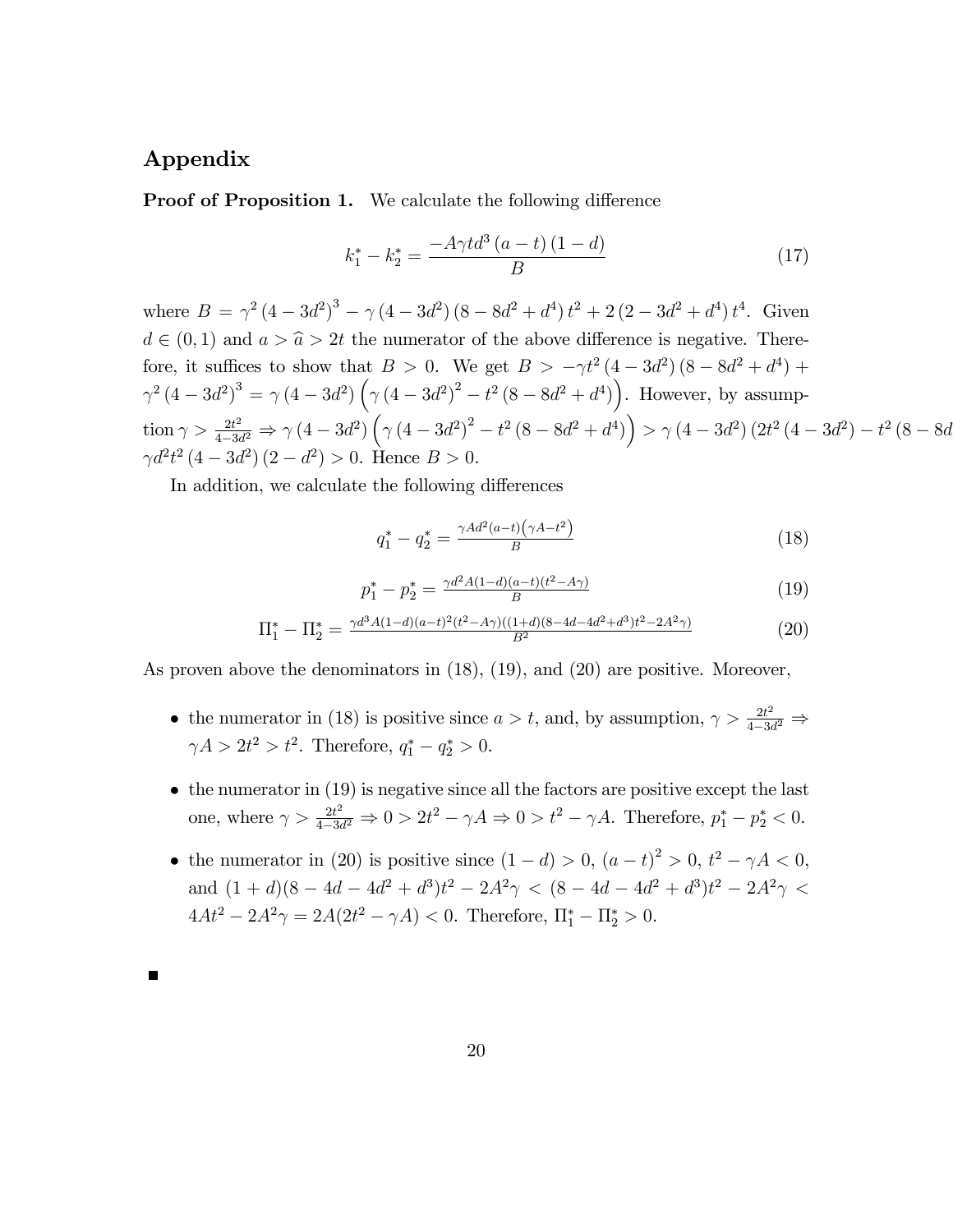## Appendix

**Proof of Proposition 1.** We calculate the following difference

$$
k_1^* - k_2^* = \frac{-A\gamma t d^3 (a-t) (1-d)}{B} \tag{17}
$$

where  $B = \gamma^2 (4 - 3d^2)^3 - \gamma (4 - 3d^2) (8 - 8d^2 + d^4) t^2 + 2 (2 - 3d^2 + d^4) t^4$ . Given  $d \in (0, 1)$  and  $a > \hat{a} > 2t$  the numerator of the above difference is negative. Therefore, it suffices to show that  $B > 0$ . We get  $B > -\gamma t^2 (4 - 3d^2) (8 - 8d^2 + d^4) +$  $\gamma^2 (4 - 3d^2)^3 = \gamma (4 - 3d^2) \left( \gamma (4 - 3d^2)^2 - t^2 (8 - 8d^2 + d^4) \right)$ . However, by assumption  $\gamma > \frac{2t^2}{4-3t^2}$  $\frac{2t^2}{4-3d^2} \Rightarrow \gamma (4-3d^2) (\gamma (4-3d^2)^2 - t^2 (8-8d^2 + d^4)) > \gamma (4-3d^2) (2t^2 (4-3d^2) - t^2 (8-8d^2))$  $\gamma d^2 t^2 (4 - 3d^2) (2 - d^2) > 0$ . Hence  $B > 0$ .

In addition, we calculate the following differences

$$
q_1^* - q_2^* = \frac{\gamma A d^2 (a-t) (\gamma A - t^2)}{B} \tag{18}
$$

$$
p_1^* - p_2^* = \frac{\gamma d^2 A (1 - d)(a - t)(t^2 - A\gamma)}{B} \tag{19}
$$

$$
\Pi_1^* - \Pi_2^* = \frac{\gamma d^3 A (1 - d)(a - t)^2 (t^2 - A\gamma)((1 + d)(8 - 4d - 4d^2 + d^3)t^2 - 2A^2 \gamma)}{B^2} \tag{20}
$$

As proven above the denominators in (18), (19), and (20) are positive. Moreover,

- the numerator in (18) is positive since  $a > t$ , and, by assumption,  $\gamma > \frac{2t^2}{4-3a}$  $\frac{1}{4-3d^2} \Rightarrow$  $\gamma A > 2t^2 > t^2$ . Therefore,  $q_1^* - q_2^* > 0$ .
- $\bullet$  the numerator in (19) is negative since all the factors are positive except the last one, where  $\gamma > \frac{2t^2}{4-3t}$  $\frac{2t^2}{4-3d^2} \Rightarrow 0 > 2t^2 - \gamma A \Rightarrow 0 > t^2 - \gamma A$ . Therefore,  $p_1^* - p_2^* < 0$ .
- the numerator in (20) is positive since  $(1 d) > 0$ ,  $(a t)^2 > 0$ ,  $t^2 \gamma A < 0$ , and  $(1 + d)(8 - 4d - 4d^2 + d^3)t^2 - 2A^2\gamma < (8 - 4d - 4d^2 + d^3)t^2 - 2A^2\gamma <$  $4At^2 - 2A^2\gamma = 2A(2t^2 - \gamma A) < 0$ . Therefore,  $\Pi_1^* - \Pi_2^* > 0$ .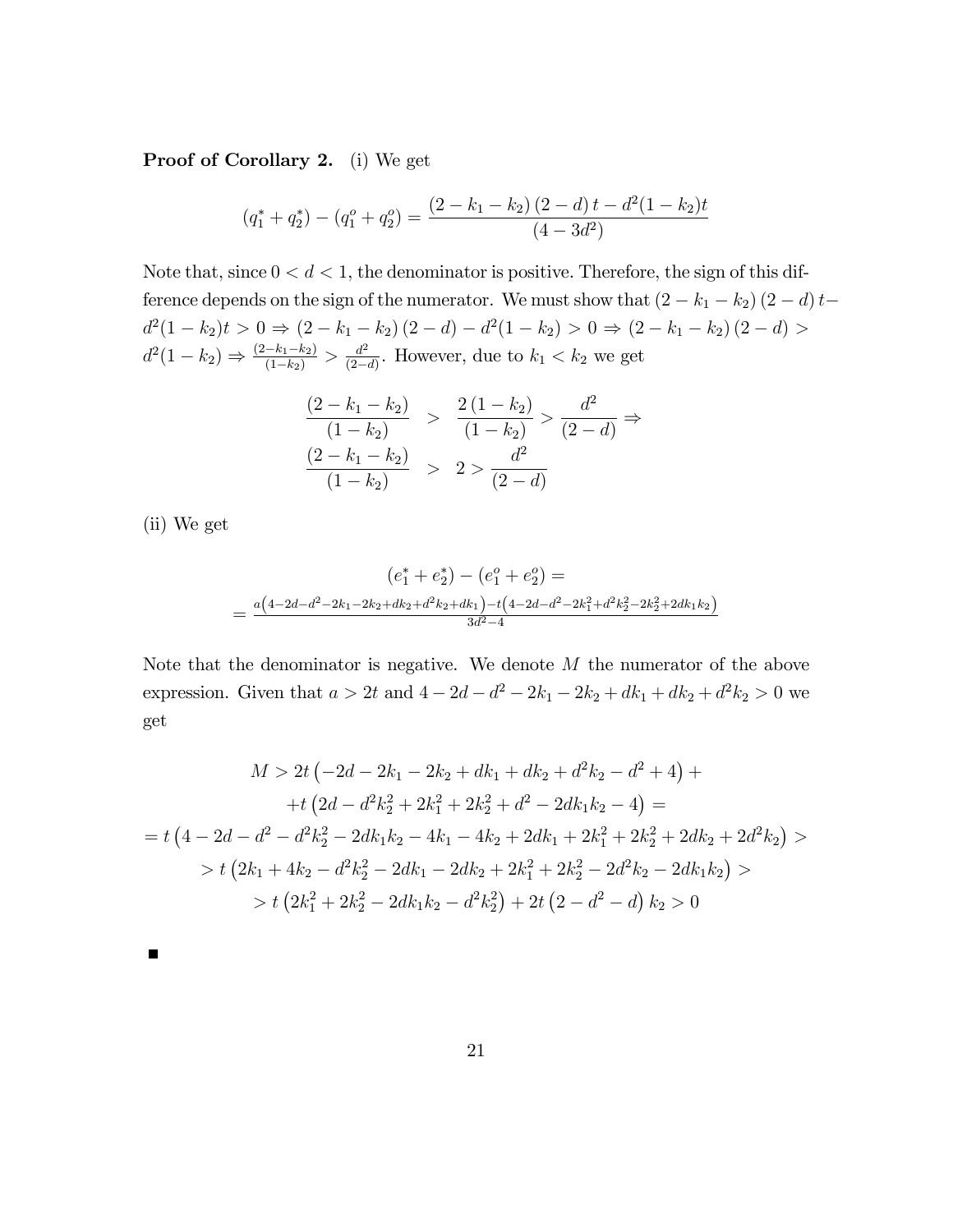Proof of Corollary 2. (i) We get

$$
(q_1^* + q_2^*) - (q_1^o + q_2^o) = \frac{(2 - k_1 - k_2)(2 - d)t - d^2(1 - k_2)t}{(4 - 3d^2)}
$$

Note that, since  $0 < d < 1$ , the denominator is positive. Therefore, the sign of this difference depends on the sign of the numerator. We must show that  $(2 - k_1 - k_2) (2 - d) t$  $d^2(1-k_2)t > 0 \Rightarrow (2-k_1-k_2)(2-d) - d^2(1-k_2) > 0 \Rightarrow (2-k_1-k_2)(2-d) > 0$  $d^2(1-k_2) \Rightarrow \frac{(2-k_1-k_2)}{(1-k_2)} > \frac{d^2}{(2-k_1-k_2)}$  $\frac{d^2}{2(-d)}$ . However, due to  $k_1 < k_2$  we get

$$
\frac{(2 - k_1 - k_2)}{(1 - k_2)} > \frac{2(1 - k_2)}{(1 - k_2)} > \frac{d^2}{(2 - d)} \Rightarrow
$$

$$
\frac{(2 - k_1 - k_2)}{(1 - k_2)} > 2 > \frac{d^2}{(2 - d)}
$$

(ii) We get

 $\blacksquare$ 

$$
(e_1^* + e_2^*) - (e_1^o + e_2^o) =
$$
  
= 
$$
\frac{a(4-2d-d^2-2k_1-2k_2+dk_2+d^2k_2+dk_1) - t(4-2d-d^2-2k_1^2+d^2k_2^2-2k_2^2+2dk_1k_2)}{3d^2-4}
$$

Note that the denominator is negative. We denote  $M$  the numerator of the above expression. Given that  $a > 2t$  and  $4 - 2d - d^2 - 2k_1 - 2k_2 + dk_1 + dk_2 + d^2k_2 > 0$  we get

$$
M > 2t \left(-2d - 2k_1 - 2k_2 + dk_1 + dk_2 + d^2k_2 - d^2 + 4\right) +
$$
  
+ 
$$
t \left(2d - d^2k_2^2 + 2k_1^2 + 2k_2^2 + d^2 - 2dk_1k_2 - 4\right) =
$$
  
= 
$$
t \left(4 - 2d - d^2 - d^2k_2^2 - 2dk_1k_2 - 4k_1 - 4k_2 + 2dk_1 + 2k_1^2 + 2k_2^2 + 2dk_2 + 2d^2k_2\right) >
$$
  

$$
> t \left(2k_1 + 4k_2 - d^2k_2^2 - 2dk_1 - 2dk_2 + 2k_1^2 + 2k_2^2 - 2d^2k_2 - 2dk_1k_2\right) >
$$
  

$$
> t \left(2k_1^2 + 2k_2^2 - 2dk_1k_2 - d^2k_2^2\right) + 2t \left(2 - d^2 - d\right)k_2 > 0
$$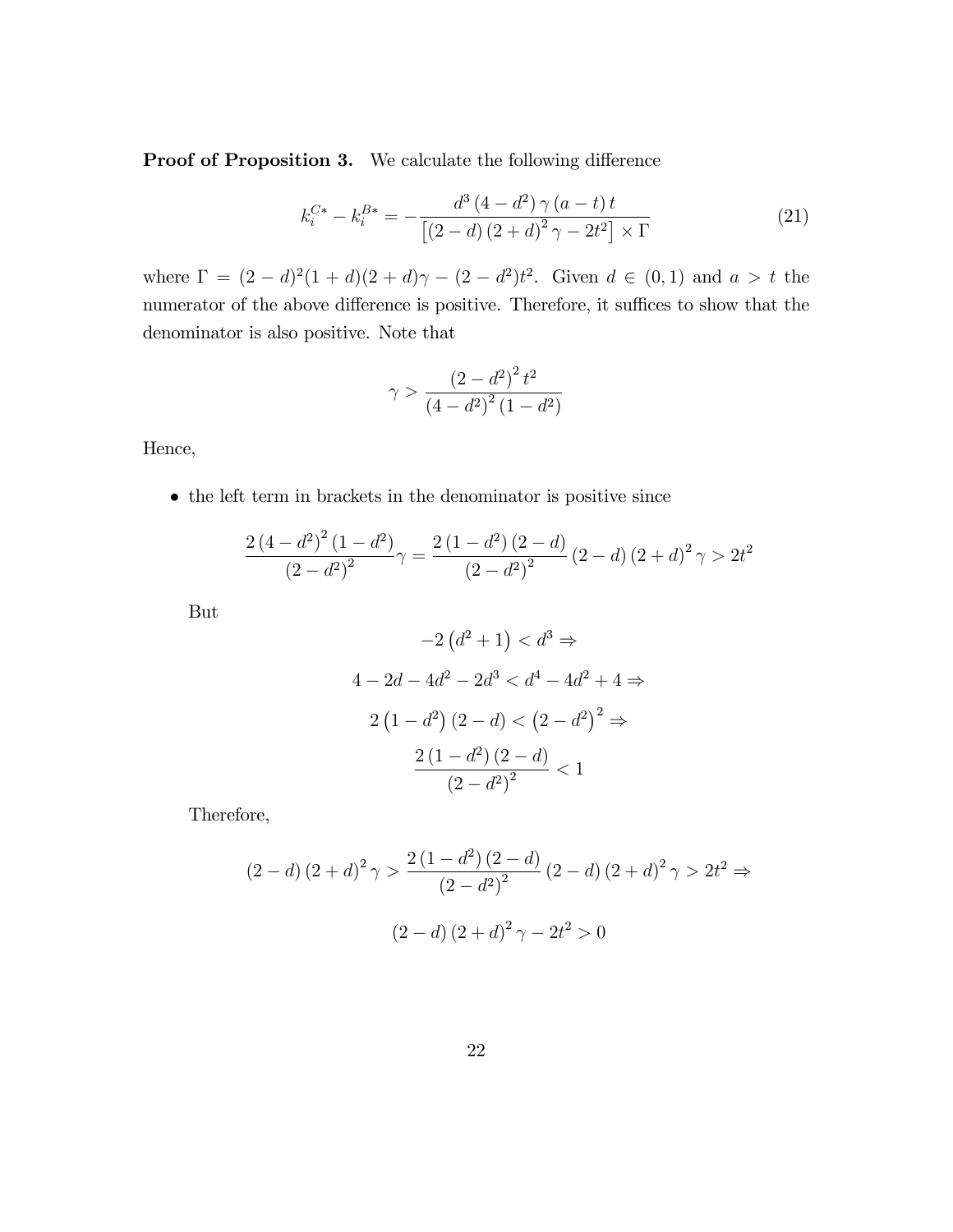**Proof of Proposition 3.** We calculate the following difference

$$
k_i^{C*} - k_i^{B*} = -\frac{d^3 (4 - d^2) \gamma (a - t) t}{[(2 - d) (2 + d)^2 \gamma - 2t^2] \times \Gamma}
$$
(21)

where  $\Gamma = (2 - d)^2 (1 + d)(2 + d)\gamma - (2 - d^2)t^2$ . Given  $d \in (0, 1)$  and  $a > t$  the numerator of the above difference is positive. Therefore, it suffices to show that the denominator is also positive. Note that

$$
\gamma > \frac{\left(2 - d^2\right)^2 t^2}{\left(4 - d^2\right)^2 \left(1 - d^2\right)}
$$

Hence,

 $\bullet\,$  the left term in brackets in the denominator is positive since

$$
\frac{2 (4 - d^2)^2 (1 - d^2)}{(2 - d^2)^2} \gamma = \frac{2 (1 - d^2) (2 - d)}{(2 - d^2)^2} (2 - d) (2 + d)^2 \gamma > 2t^2
$$

But

$$
-2(d^{2} + 1) < d^{3} \Rightarrow
$$
  
\n
$$
4 - 2d - 4d^{2} - 2d^{3} < d^{4} - 4d^{2} + 4 \Rightarrow
$$
  
\n
$$
2(1 - d^{2})(2 - d) < (2 - d^{2})^{2} \Rightarrow
$$
  
\n
$$
\frac{2(1 - d^{2})(2 - d)}{(2 - d^{2})^{2}} < 1
$$

Therefore,

$$
(2-d)(2+d)^{2} \gamma > \frac{2(1-d^{2})(2-d)}{(2-d)^{2}} (2-d)(2+d)^{2} \gamma > 2t^{2} \Rightarrow
$$

$$
(2-d)(2+d)^{2} \gamma - 2t^{2} > 0
$$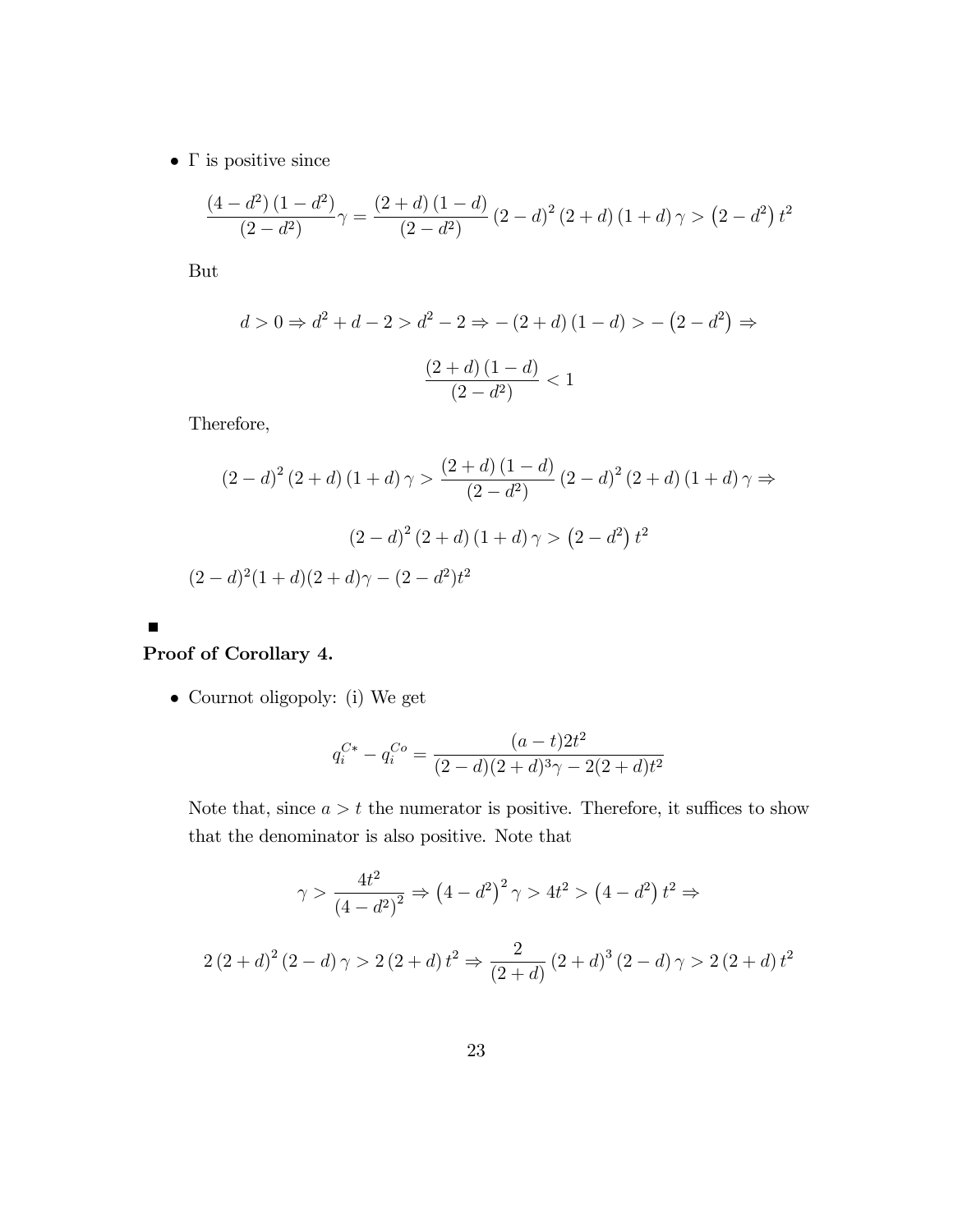$\bullet\,$   $\Gamma$  is positive since

$$
\frac{(4-d^2)(1-d^2)}{(2-d^2)}\gamma = \frac{(2+d)(1-d)}{(2-d^2)}(2-d)^2(2+d)(1+d)\gamma > (2-d^2)t^2
$$

But

$$
d > 0 \Rightarrow d^{2} + d - 2 > d^{2} - 2 \Rightarrow -(2 + d) (1 - d) > -(2 - d^{2}) \Rightarrow
$$

$$
\frac{(2 + d) (1 - d)}{(2 - d^{2})} < 1
$$

Therefore,

$$
(2-d)^2 (2+d) (1+d) \gamma > \frac{(2+d) (1-d)}{(2-d^2)} (2-d)^2 (2+d) (1+d) \gamma \Rightarrow
$$
  

$$
(2-d)^2 (2+d) (1+d) \gamma > (2-d^2) t^2
$$
  

$$
(2-d)^2 (1+d) (2+d) \gamma - (2-d^2) t^2
$$

## Proof of Corollary 4.

 $\blacksquare$ 

Cournot oligopoly: (i) We get

$$
q_i^{C*} - q_i^{C} = \frac{(a-t)2t^2}{(2-d)(2+d)^3\gamma - 2(2+d)t^2}
$$

Note that, since  $a > t$  the numerator is positive. Therefore, it suffices to show that the denominator is also positive. Note that

$$
\gamma > \frac{4t^2}{(4-d^2)^2} \Rightarrow (4-d^2)^2 \gamma > 4t^2 > (4-d^2)t^2 \Rightarrow
$$
  

$$
2(2+d)^2(2-d)\gamma > 2(2+d)t^2 \Rightarrow \frac{2}{(2+d)}(2+d)^3(2-d)\gamma > 2(2+d)t^2
$$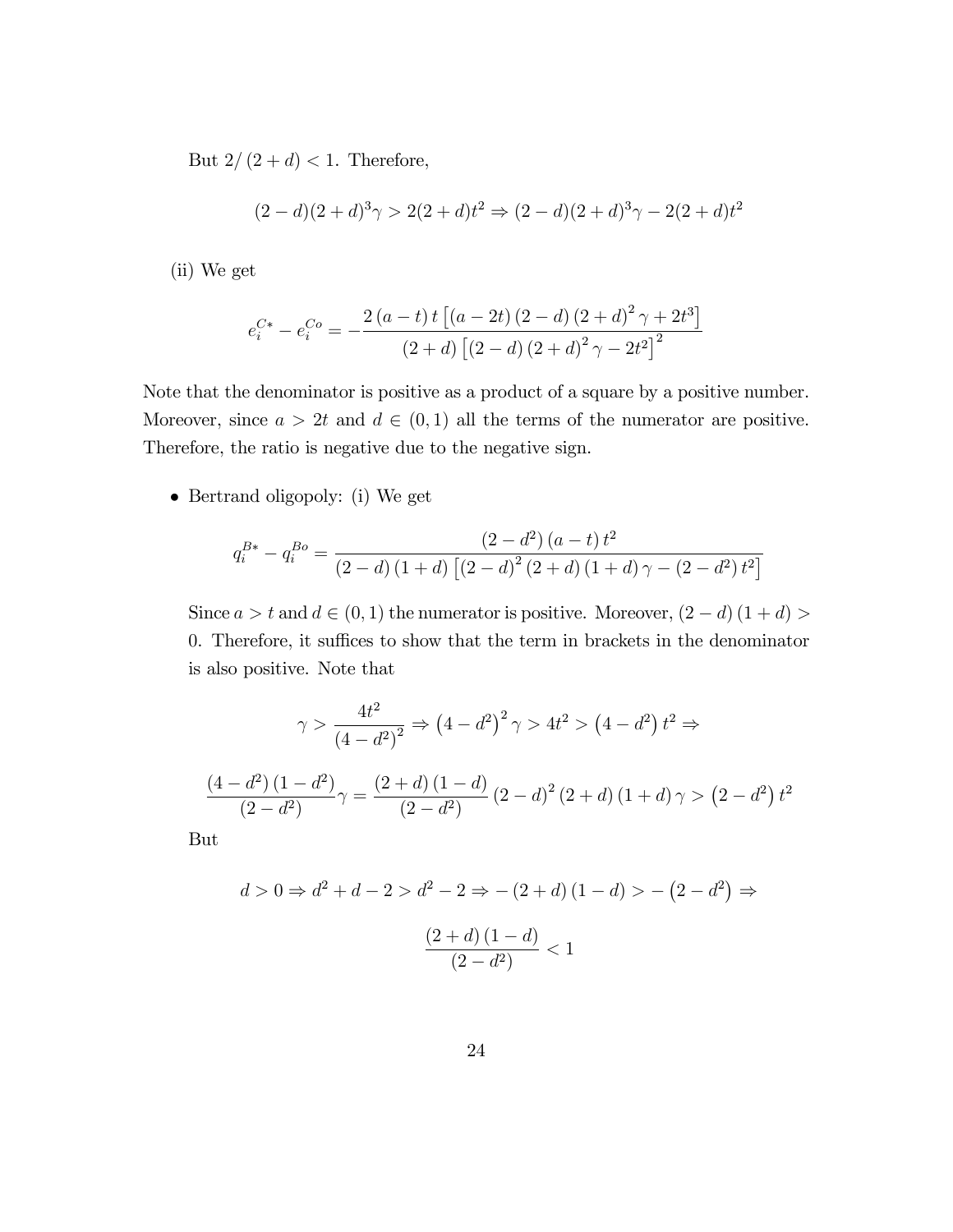But  $2/(2 + d) < 1$ . Therefore,

$$
(2-d)(2+d)^3\gamma > 2(2+d)t^2 \Rightarrow (2-d)(2+d)^3\gamma - 2(2+d)t^2
$$

(ii) We get

$$
e_i^{C*} - e_i^{Co} = -\frac{2(a-t)t [(a-2t)(2-d) (2+d)^2 \gamma + 2t^3]}{(2+d) [(2-d) (2+d)^2 \gamma - 2t^2]^2}
$$

Note that the denominator is positive as a product of a square by a positive number. Moreover, since  $a > 2t$  and  $d \in (0,1)$  all the terms of the numerator are positive. Therefore, the ratio is negative due to the negative sign.

• Bertrand oligopoly: (i) We get

$$
q_i^{B*} - q_i^{Bo} = \frac{(2 - d^2)(a - t)t^2}{(2 - d)(1 + d)\left[ (2 - d)^2 (2 + d)(1 + d)\gamma - (2 - d^2)t^2 \right]}
$$

Since  $a > t$  and  $d \in (0, 1)$  the numerator is positive. Moreover,  $(2 - d) (1 + d)$ 0. Therefore, it suffices to show that the term in brackets in the denominator is also positive. Note that

$$
\gamma > \frac{4t^2}{(4-d^2)^2} \Rightarrow (4-d^2)^2 \gamma > 4t^2 > (4-d^2) t^2 \Rightarrow
$$

$$
\frac{(4-d^2)(1-d^2)}{(2-d^2)} \gamma = \frac{(2+d)(1-d)}{(2-d^2)} (2-d)^2 (2+d) (1+d) \gamma > (2-d^2) t^2
$$

But

$$
d > 0 \Rightarrow d^{2} + d - 2 > d^{2} - 2 \Rightarrow -(2 + d) (1 - d) > -(2 - d^{2}) \Rightarrow
$$

$$
\frac{(2 + d) (1 - d)}{(2 - d^{2})} < 1
$$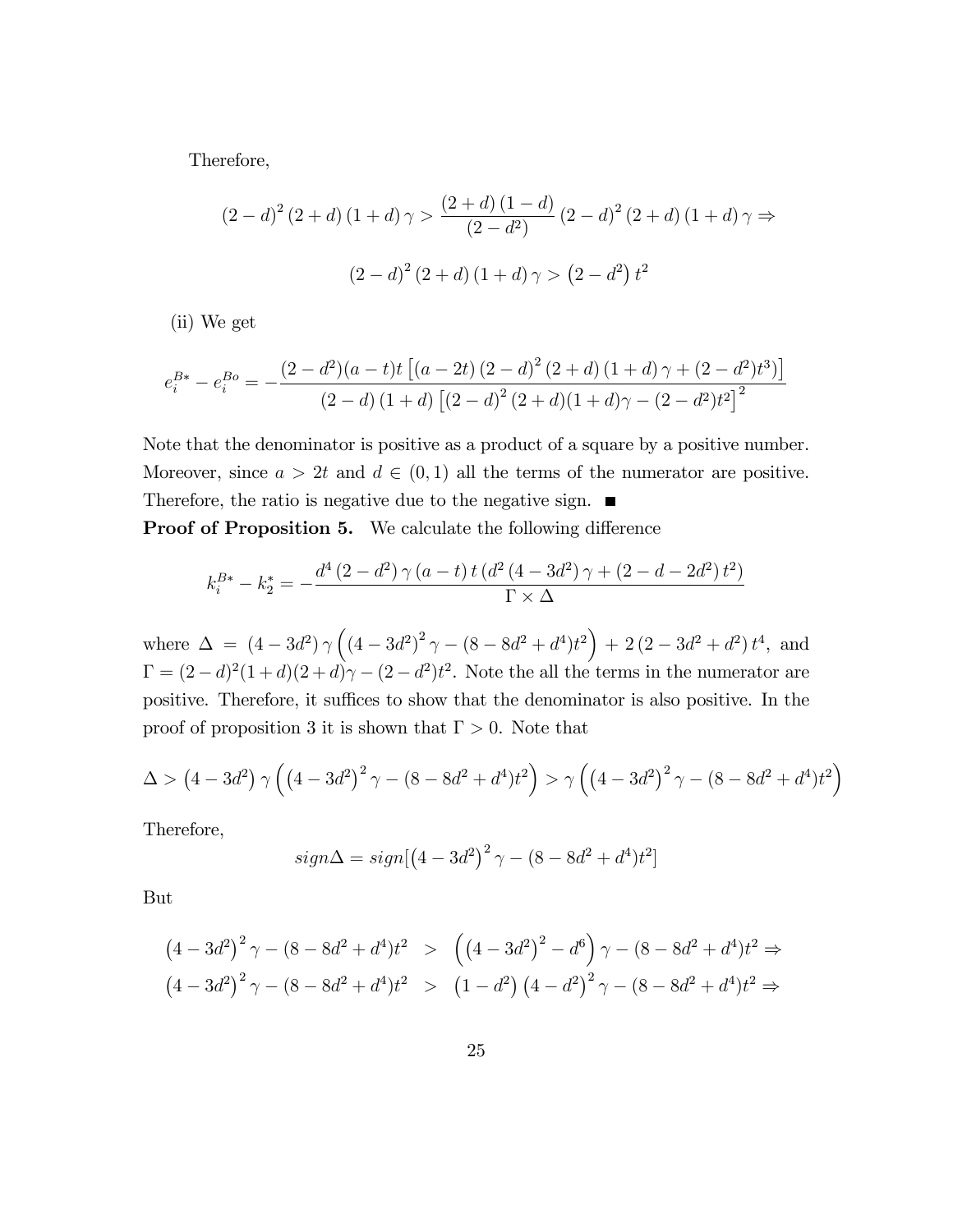Therefore,

$$
(2-d)^{2} (2+d) (1+d) \gamma > \frac{(2+d) (1-d)}{(2-d^{2})} (2-d)^{2} (2+d) (1+d) \gamma \Rightarrow
$$

$$
(2-d)^{2} (2+d) (1+d) \gamma > (2-d^{2}) t^{2}
$$

(ii) We get

$$
e_i^{B*} - e_i^{Bo} = -\frac{(2-d^2)(a-t)t [(a-2t)(2-d)^2 (2+d) (1+d) \gamma + (2-d^2)t^3] }{(2-d) (1+d) [(2-d)^2 (2+d) (1+d) \gamma - (2-d^2)t^2]^2}
$$

Note that the denominator is positive as a product of a square by a positive number. Moreover, since  $a > 2t$  and  $d \in (0,1)$  all the terms of the numerator are positive. Therefore, the ratio is negative due to the negative sign. ■

**Proof of Proposition 5.** We calculate the following difference

$$
k_i^{B*} - k_2^* = -\frac{d^4 (2 - d^2) \gamma (a - t) t (d^2 (4 - 3d^2) \gamma + (2 - d - 2d^2) t^2)}{\Gamma \times \Delta}
$$

where  $\Delta = (4 - 3d^2) \gamma \left( (4 - 3d^2)^2 \gamma - (8 - 8d^2 + d^4)t^2 \right) + 2 (2 - 3d^2 + d^2) t^4$ , and  $\Gamma = (2-d)^2(1+d)(2+d)\gamma - (2-d^2)t^2$ . Note the all the terms in the numerator are positive. Therefore, it suffices to show that the denominator is also positive. In the proof of proposition 3 it is shown that  $\Gamma > 0$ . Note that

$$
\Delta > (4 - 3d^2) \gamma \left( \left( 4 - 3d^2 \right)^2 \gamma - (8 - 8d^2 + d^4)t^2 \right) > \gamma \left( \left( 4 - 3d^2 \right)^2 \gamma - (8 - 8d^2 + d^4)t^2 \right)
$$

Therefore,

$$
sign\Delta = sign[(4 - 3d^2)^2 \gamma - (8 - 8d^2 + d^4)t^2]
$$

But

$$
(4-3d^2)^2 \gamma - (8-8d^2+d^4)t^2 > ((4-3d^2)^2-d^6) \gamma - (8-8d^2+d^4)t^2 \Rightarrow
$$
  

$$
(4-3d^2)^2 \gamma - (8-8d^2+d^4)t^2 > (1-d^2)(4-d^2)^2 \gamma - (8-8d^2+d^4)t^2 \Rightarrow
$$